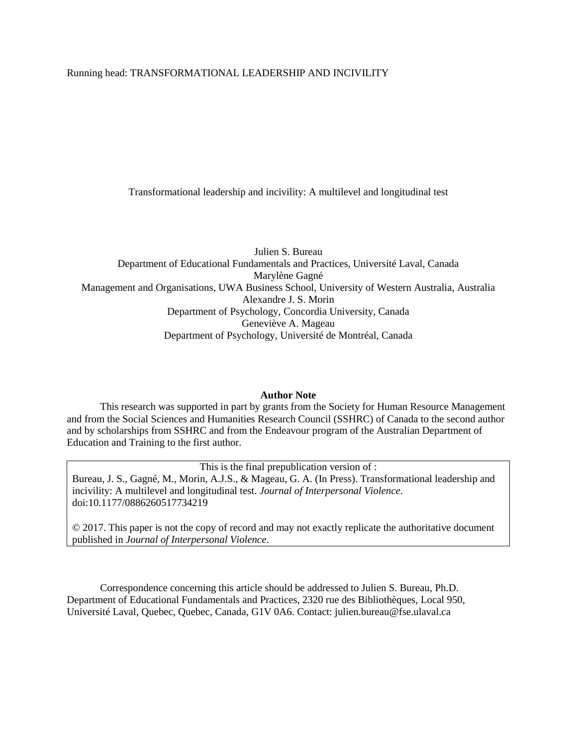## Running head: TRANSFORMATIONAL LEADERSHIP AND INCIVILITY

Transformational leadership and incivility: A multilevel and longitudinal test

Julien S. Bureau Department of Educational Fundamentals and Practices, Université Laval, Canada Marylène Gagné Management and Organisations, UWA Business School, University of Western Australia, Australia Alexandre J. S. Morin Department of Psychology, Concordia University, Canada Geneviève A. Mageau Department of Psychology, Université de Montréal, Canada

## **Author Note**

This research was supported in part by grants from the Society for Human Resource Management and from the Social Sciences and Humanities Research Council (SSHRC) of Canada to the second author and by scholarships from SSHRC and from the Endeavour program of the Australian Department of Education and Training to the first author.

This is the final prepublication version of : Bureau, J. S., Gagné, M., Morin, A.J.S., & Mageau, G. A. (In Press). Transformational leadership and incivility: A multilevel and longitudinal test. *Journal of Interpersonal Violence*. doi:10.1177/0886260517734219

© 2017. This paper is not the copy of record and may not exactly replicate the authoritative document published in *Journal of Interpersonal Violence*.

Correspondence concerning this article should be addressed to Julien S. Bureau, Ph.D. Department of Educational Fundamentals and Practices, 2320 rue des Bibliothèques, Local 950, Université Laval, Quebec, Quebec, Canada, G1V 0A6. Contact: julien.bureau@fse.ulaval.ca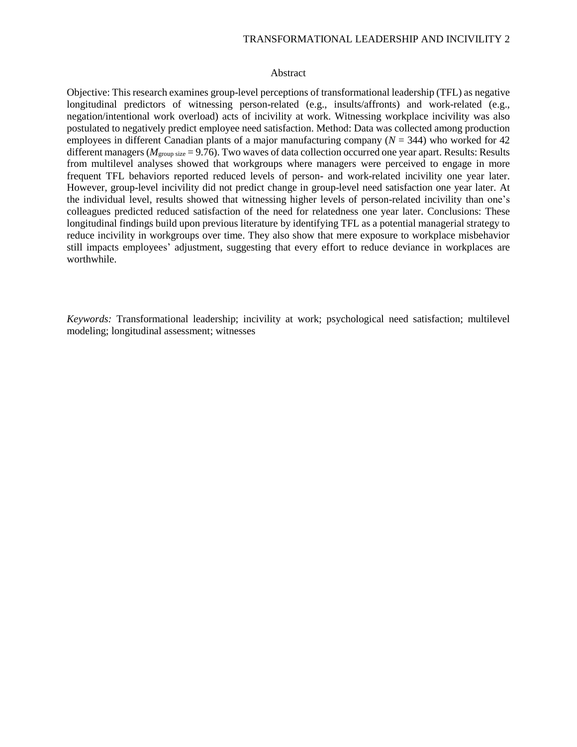## TRANSFORMATIONAL LEADERSHIP AND INCIVILITY 2

## Abstract

Objective: This research examines group-level perceptions of transformational leadership (TFL) as negative longitudinal predictors of witnessing person-related (e.g., insults/affronts) and work-related (e.g., negation/intentional work overload) acts of incivility at work. Witnessing workplace incivility was also postulated to negatively predict employee need satisfaction. Method: Data was collected among production employees in different Canadian plants of a major manufacturing company (*N* = 344) who worked for 42 different managers ( $M_{\text{group size}} = 9.76$ ). Two waves of data collection occurred one year apart. Results: Results from multilevel analyses showed that workgroups where managers were perceived to engage in more frequent TFL behaviors reported reduced levels of person- and work-related incivility one year later. However, group-level incivility did not predict change in group-level need satisfaction one year later. At the individual level, results showed that witnessing higher levels of person-related incivility than one's colleagues predicted reduced satisfaction of the need for relatedness one year later. Conclusions: These longitudinal findings build upon previous literature by identifying TFL as a potential managerial strategy to reduce incivility in workgroups over time. They also show that mere exposure to workplace misbehavior still impacts employees' adjustment, suggesting that every effort to reduce deviance in workplaces are worthwhile.

*Keywords:* Transformational leadership; incivility at work; psychological need satisfaction; multilevel modeling; longitudinal assessment; witnesses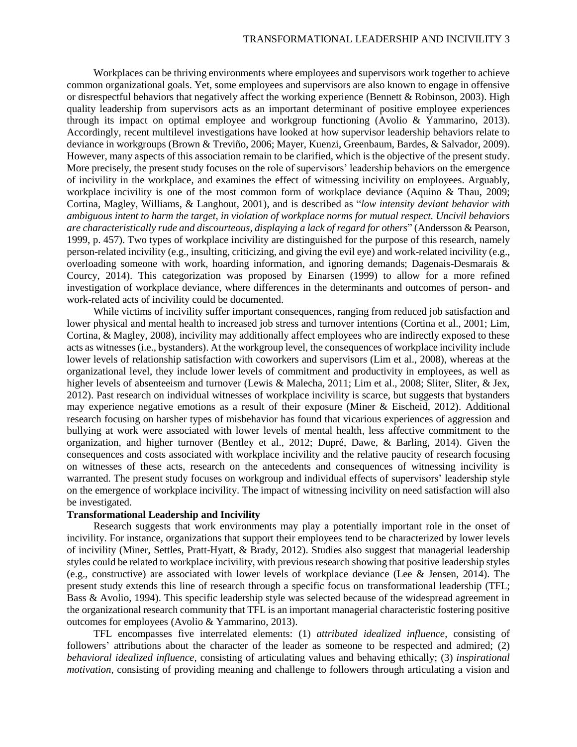Workplaces can be thriving environments where employees and supervisors work together to achieve common organizational goals. Yet, some employees and supervisors are also known to engage in offensive or disrespectful behaviors that negatively affect the working experience (Bennett & Robinson, 2003). High quality leadership from supervisors acts as an important determinant of positive employee experiences through its impact on optimal employee and workgroup functioning (Avolio & Yammarino, 2013). Accordingly, recent multilevel investigations have looked at how supervisor leadership behaviors relate to deviance in workgroups (Brown & Treviño, 2006; Mayer, Kuenzi, Greenbaum, Bardes, & Salvador, 2009). However, many aspects of this association remain to be clarified, which is the objective of the present study. More precisely, the present study focuses on the role of supervisors' leadership behaviors on the emergence of incivility in the workplace, and examines the effect of witnessing incivility on employees. Arguably, workplace incivility is one of the most common form of workplace deviance (Aquino & Thau, 2009; Cortina, Magley, Williams, & Langhout, 2001), and is described as "*low intensity deviant behavior with ambiguous intent to harm the target, in violation of workplace norms for mutual respect. Uncivil behaviors are characteristically rude and discourteous, displaying a lack of regard for others*" (Andersson & Pearson, 1999, p. 457). Two types of workplace incivility are distinguished for the purpose of this research, namely person-related incivility (e.g., insulting, criticizing, and giving the evil eye) and work-related incivility (e.g., overloading someone with work, hoarding information, and ignoring demands; Dagenais-Desmarais & Courcy, 2014). This categorization was proposed by Einarsen (1999) to allow for a more refined investigation of workplace deviance, where differences in the determinants and outcomes of person- and work-related acts of incivility could be documented.

While victims of incivility suffer important consequences, ranging from reduced job satisfaction and lower physical and mental health to increased job stress and turnover intentions (Cortina et al., 2001; Lim, Cortina, & Magley, 2008), incivility may additionally affect employees who are indirectly exposed to these acts as witnesses (i.e., bystanders). At the workgroup level, the consequences of workplace incivility include lower levels of relationship satisfaction with coworkers and supervisors (Lim et al., 2008), whereas at the organizational level, they include lower levels of commitment and productivity in employees, as well as higher levels of absenteeism and turnover (Lewis & Malecha, 2011; Lim et al., 2008; Sliter, Sliter, & Jex, 2012). Past research on individual witnesses of workplace incivility is scarce, but suggests that bystanders may experience negative emotions as a result of their exposure (Miner & Eischeid, 2012). Additional research focusing on harsher types of misbehavior has found that vicarious experiences of aggression and bullying at work were associated with lower levels of mental health, less affective commitment to the organization, and higher turnover (Bentley et al., 2012; Dupré, Dawe, & Barling, 2014). Given the consequences and costs associated with workplace incivility and the relative paucity of research focusing on witnesses of these acts, research on the antecedents and consequences of witnessing incivility is warranted. The present study focuses on workgroup and individual effects of supervisors' leadership style on the emergence of workplace incivility. The impact of witnessing incivility on need satisfaction will also be investigated.

## **Transformational Leadership and Incivility**

Research suggests that work environments may play a potentially important role in the onset of incivility. For instance, organizations that support their employees tend to be characterized by lower levels of incivility (Miner, Settles, Pratt-Hyatt, & Brady, 2012). Studies also suggest that managerial leadership styles could be related to workplace incivility, with previous research showing that positive leadership styles (e.g., constructive) are associated with lower levels of workplace deviance (Lee & Jensen, 2014). The present study extends this line of research through a specific focus on transformational leadership (TFL; Bass & Avolio, 1994). This specific leadership style was selected because of the widespread agreement in the organizational research community that TFL is an important managerial characteristic fostering positive outcomes for employees (Avolio & Yammarino, 2013).

TFL encompasses five interrelated elements: (1) *attributed idealized influence*, consisting of followers' attributions about the character of the leader as someone to be respected and admired; (2) *behavioral idealized influence*, consisting of articulating values and behaving ethically; (3) *inspirational motivation*, consisting of providing meaning and challenge to followers through articulating a vision and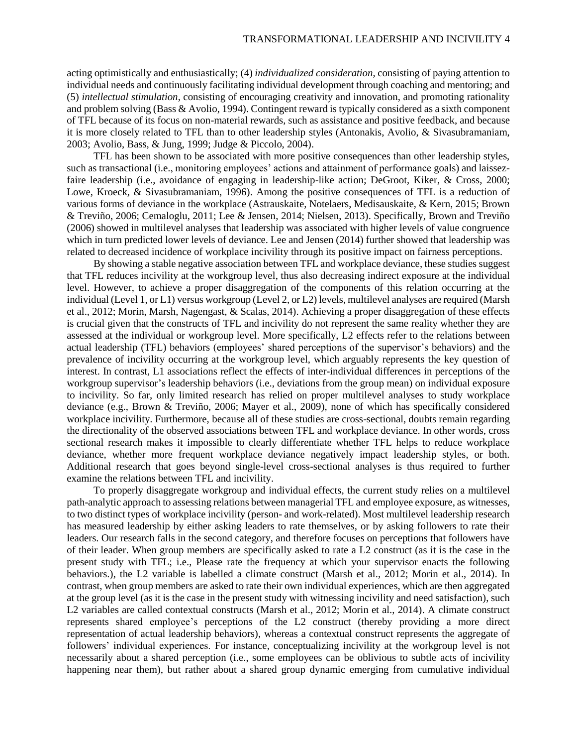acting optimistically and enthusiastically; (4) *individualized consideration*, consisting of paying attention to individual needs and continuously facilitating individual development through coaching and mentoring; and (5) *intellectual stimulation*, consisting of encouraging creativity and innovation, and promoting rationality and problem solving (Bass & Avolio, 1994). Contingent reward is typically considered as a sixth component of TFL because of its focus on non-material rewards, such as assistance and positive feedback, and because it is more closely related to TFL than to other leadership styles (Antonakis, Avolio, & Sivasubramaniam, 2003; Avolio, Bass, & Jung, 1999; Judge & Piccolo, 2004).

TFL has been shown to be associated with more positive consequences than other leadership styles, such as transactional (i.e., monitoring employees' actions and attainment of performance goals) and laissezfaire leadership (i.e., avoidance of engaging in leadership-like action; DeGroot, Kiker, & Cross, 2000; Lowe, Kroeck, & Sivasubramaniam, 1996). Among the positive consequences of TFL is a reduction of various forms of deviance in the workplace (Astrauskaite, Notelaers, Medisauskaite, & Kern, 2015; Brown & Treviño, 2006; Cemaloglu, 2011; Lee & Jensen, 2014; Nielsen, 2013). Specifically, Brown and Treviño (2006) showed in multilevel analyses that leadership was associated with higher levels of value congruence which in turn predicted lower levels of deviance. Lee and Jensen (2014) further showed that leadership was related to decreased incidence of workplace incivility through its positive impact on fairness perceptions.

By showing a stable negative association between TFL and workplace deviance, these studies suggest that TFL reduces incivility at the workgroup level, thus also decreasing indirect exposure at the individual level. However, to achieve a proper disaggregation of the components of this relation occurring at the individual (Level 1, or L1) versus workgroup (Level 2, or L2) levels, multilevel analyses are required (Marsh et al., 2012; Morin, Marsh, Nagengast, & Scalas, 2014). Achieving a proper disaggregation of these effects is crucial given that the constructs of TFL and incivility do not represent the same reality whether they are assessed at the individual or workgroup level. More specifically, L2 effects refer to the relations between actual leadership (TFL) behaviors (employees' shared perceptions of the supervisor's behaviors) and the prevalence of incivility occurring at the workgroup level, which arguably represents the key question of interest. In contrast, L1 associations reflect the effects of inter-individual differences in perceptions of the workgroup supervisor's leadership behaviors (i.e., deviations from the group mean) on individual exposure to incivility. So far, only limited research has relied on proper multilevel analyses to study workplace deviance (e.g., Brown & Treviño, 2006; Mayer et al., 2009), none of which has specifically considered workplace incivility. Furthermore, because all of these studies are cross-sectional, doubts remain regarding the directionality of the observed associations between TFL and workplace deviance. In other words, cross sectional research makes it impossible to clearly differentiate whether TFL helps to reduce workplace deviance, whether more frequent workplace deviance negatively impact leadership styles, or both. Additional research that goes beyond single-level cross-sectional analyses is thus required to further examine the relations between TFL and incivility.

To properly disaggregate workgroup and individual effects, the current study relies on a multilevel path-analytic approach to assessing relations between managerial TFL and employee exposure, as witnesses, to two distinct types of workplace incivility (person- and work-related). Most multilevel leadership research has measured leadership by either asking leaders to rate themselves, or by asking followers to rate their leaders. Our research falls in the second category, and therefore focuses on perceptions that followers have of their leader. When group members are specifically asked to rate a L2 construct (as it is the case in the present study with TFL; i.e., Please rate the frequency at which your supervisor enacts the following behaviors.), the L2 variable is labelled a climate construct (Marsh et al., 2012; Morin et al., 2014). In contrast, when group members are asked to rate their own individual experiences, which are then aggregated at the group level (as it is the case in the present study with witnessing incivility and need satisfaction), such L2 variables are called contextual constructs (Marsh et al., 2012; Morin et al., 2014). A climate construct represents shared employee's perceptions of the L2 construct (thereby providing a more direct representation of actual leadership behaviors), whereas a contextual construct represents the aggregate of followers' individual experiences. For instance, conceptualizing incivility at the workgroup level is not necessarily about a shared perception (i.e., some employees can be oblivious to subtle acts of incivility happening near them), but rather about a shared group dynamic emerging from cumulative individual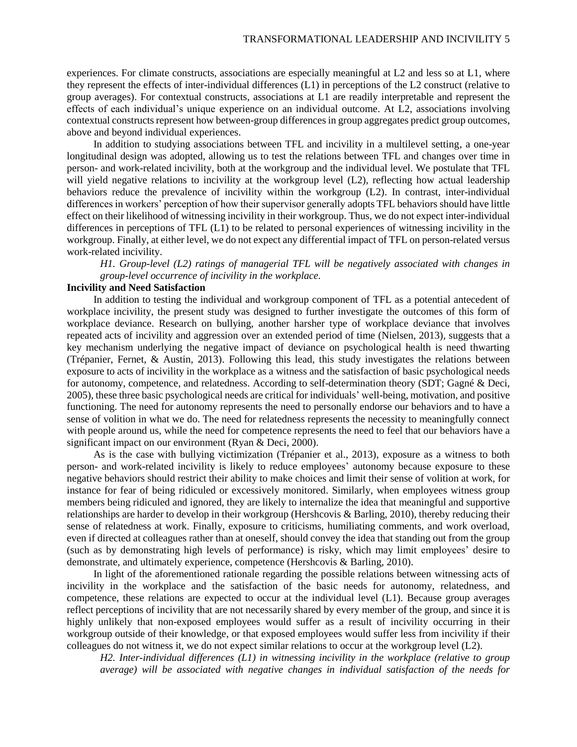experiences. For climate constructs, associations are especially meaningful at L2 and less so at L1, where they represent the effects of inter-individual differences (L1) in perceptions of the L2 construct (relative to group averages). For contextual constructs, associations at L1 are readily interpretable and represent the effects of each individual's unique experience on an individual outcome. At L2, associations involving contextual constructs represent how between-group differences in group aggregates predict group outcomes, above and beyond individual experiences.

In addition to studying associations between TFL and incivility in a multilevel setting, a one-year longitudinal design was adopted, allowing us to test the relations between TFL and changes over time in person- and work-related incivility, both at the workgroup and the individual level. We postulate that TFL will yield negative relations to incivility at the workgroup level (L2), reflecting how actual leadership behaviors reduce the prevalence of incivility within the workgroup (L2). In contrast, inter-individual differences in workers' perception of how their supervisor generally adopts TFL behaviors should have little effect on their likelihood of witnessing incivility in their workgroup. Thus, we do not expect inter-individual differences in perceptions of TFL (L1) to be related to personal experiences of witnessing incivility in the workgroup. Finally, at either level, we do not expect any differential impact of TFL on person-related versus work-related incivility.

*H1. Group-level (L2) ratings of managerial TFL will be negatively associated with changes in group-level occurrence of incivility in the workplace.*

## **Incivility and Need Satisfaction**

In addition to testing the individual and workgroup component of TFL as a potential antecedent of workplace incivility, the present study was designed to further investigate the outcomes of this form of workplace deviance. Research on bullying, another harsher type of workplace deviance that involves repeated acts of incivility and aggression over an extended period of time (Nielsen, 2013), suggests that a key mechanism underlying the negative impact of deviance on psychological health is need thwarting (Trépanier, Fernet, & Austin, 2013). Following this lead, this study investigates the relations between exposure to acts of incivility in the workplace as a witness and the satisfaction of basic psychological needs for autonomy, competence, and relatedness. According to self-determination theory (SDT; Gagné & Deci, 2005), these three basic psychological needs are critical for individuals' well-being, motivation, and positive functioning. The need for autonomy represents the need to personally endorse our behaviors and to have a sense of volition in what we do. The need for relatedness represents the necessity to meaningfully connect with people around us, while the need for competence represents the need to feel that our behaviors have a significant impact on our environment (Ryan & Deci, 2000).

As is the case with bullying victimization (Trépanier et al., 2013), exposure as a witness to both person- and work-related incivility is likely to reduce employees' autonomy because exposure to these negative behaviors should restrict their ability to make choices and limit their sense of volition at work, for instance for fear of being ridiculed or excessively monitored. Similarly, when employees witness group members being ridiculed and ignored, they are likely to internalize the idea that meaningful and supportive relationships are harder to develop in their workgroup (Hershcovis & Barling, 2010), thereby reducing their sense of relatedness at work. Finally, exposure to criticisms, humiliating comments, and work overload, even if directed at colleagues rather than at oneself, should convey the idea that standing out from the group (such as by demonstrating high levels of performance) is risky, which may limit employees' desire to demonstrate, and ultimately experience, competence (Hershcovis & Barling, 2010).

In light of the aforementioned rationale regarding the possible relations between witnessing acts of incivility in the workplace and the satisfaction of the basic needs for autonomy, relatedness, and competence, these relations are expected to occur at the individual level (L1). Because group averages reflect perceptions of incivility that are not necessarily shared by every member of the group, and since it is highly unlikely that non-exposed employees would suffer as a result of incivility occurring in their workgroup outside of their knowledge, or that exposed employees would suffer less from incivility if their colleagues do not witness it, we do not expect similar relations to occur at the workgroup level (L2).

*H2. Inter-individual differences (L1) in witnessing incivility in the workplace (relative to group average) will be associated with negative changes in individual satisfaction of the needs for*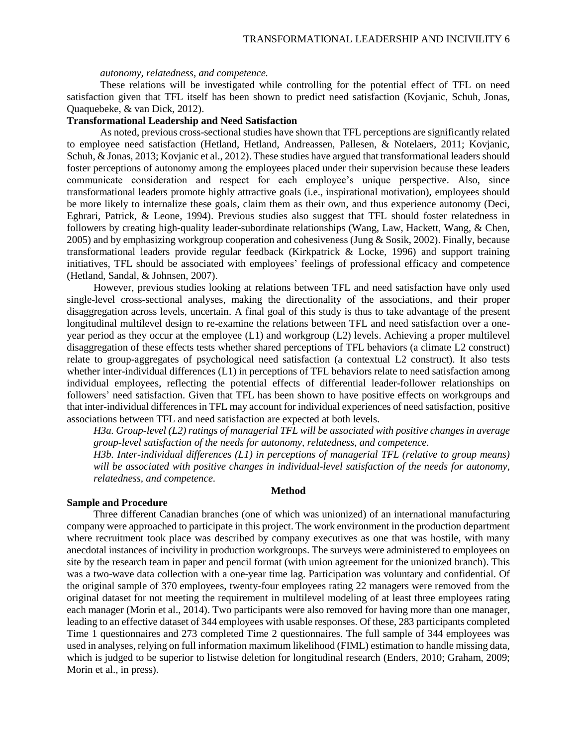#### *autonomy, relatedness, and competence.*

These relations will be investigated while controlling for the potential effect of TFL on need satisfaction given that TFL itself has been shown to predict need satisfaction (Kovjanic, Schuh, Jonas, Quaquebeke, & van Dick, 2012).

## **Transformational Leadership and Need Satisfaction**

As noted, previous cross-sectional studies have shown that TFL perceptions are significantly related to employee need satisfaction (Hetland, Hetland, Andreassen, Pallesen, & Notelaers, 2011; Kovjanic, Schuh, & Jonas, 2013; Kovjanic et al., 2012). These studies have argued that transformational leaders should foster perceptions of autonomy among the employees placed under their supervision because these leaders communicate consideration and respect for each employee's unique perspective. Also, since transformational leaders promote highly attractive goals (i.e., inspirational motivation), employees should be more likely to internalize these goals, claim them as their own, and thus experience autonomy (Deci, Eghrari, Patrick, & Leone, 1994). Previous studies also suggest that TFL should foster relatedness in followers by creating high-quality leader-subordinate relationships (Wang, Law, Hackett, Wang, & Chen, 2005) and by emphasizing workgroup cooperation and cohesiveness (Jung & Sosik, 2002). Finally, because transformational leaders provide regular feedback (Kirkpatrick & Locke, 1996) and support training initiatives, TFL should be associated with employees' feelings of professional efficacy and competence (Hetland, Sandal, & Johnsen, 2007).

However, previous studies looking at relations between TFL and need satisfaction have only used single-level cross-sectional analyses, making the directionality of the associations, and their proper disaggregation across levels, uncertain. A final goal of this study is thus to take advantage of the present longitudinal multilevel design to re-examine the relations between TFL and need satisfaction over a oneyear period as they occur at the employee (L1) and workgroup (L2) levels. Achieving a proper multilevel disaggregation of these effects tests whether shared perceptions of TFL behaviors (a climate L2 construct) relate to group-aggregates of psychological need satisfaction (a contextual L2 construct). It also tests whether inter-individual differences (L1) in perceptions of TFL behaviors relate to need satisfaction among individual employees, reflecting the potential effects of differential leader-follower relationships on followers' need satisfaction. Given that TFL has been shown to have positive effects on workgroups and that inter-individual differences in TFL may account for individual experiences of need satisfaction, positive associations between TFL and need satisfaction are expected at both levels.

*H3a. Group-level (L2) ratings of managerial TFL will be associated with positive changes in average group-level satisfaction of the needs for autonomy, relatedness, and competence.*

*H3b. Inter-individual differences (L1) in perceptions of managerial TFL (relative to group means) will be associated with positive changes in individual-level satisfaction of the needs for autonomy, relatedness, and competence.*

#### **Method**

## **Sample and Procedure**

Three different Canadian branches (one of which was unionized) of an international manufacturing company were approached to participate in this project. The work environment in the production department where recruitment took place was described by company executives as one that was hostile, with many anecdotal instances of incivility in production workgroups. The surveys were administered to employees on site by the research team in paper and pencil format (with union agreement for the unionized branch). This was a two-wave data collection with a one-year time lag. Participation was voluntary and confidential. Of the original sample of 370 employees, twenty-four employees rating 22 managers were removed from the original dataset for not meeting the requirement in multilevel modeling of at least three employees rating each manager (Morin et al., 2014). Two participants were also removed for having more than one manager, leading to an effective dataset of 344 employees with usable responses. Of these, 283 participants completed Time 1 questionnaires and 273 completed Time 2 questionnaires. The full sample of 344 employees was used in analyses, relying on full information maximum likelihood (FIML) estimation to handle missing data, which is judged to be superior to listwise deletion for longitudinal research (Enders, 2010; Graham, 2009; Morin et al., in press).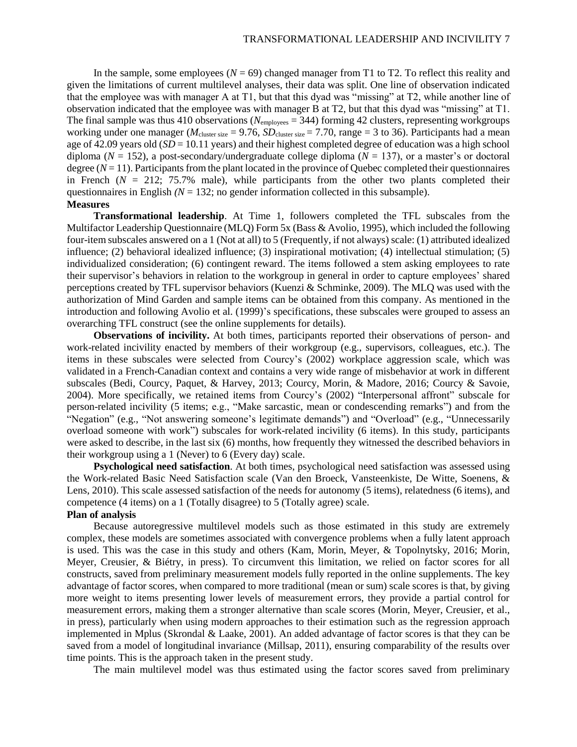In the sample, some employees  $(N = 69)$  changed manager from T1 to T2. To reflect this reality and given the limitations of current multilevel analyses, their data was split. One line of observation indicated that the employee was with manager A at T1, but that this dyad was "missing" at T2, while another line of observation indicated that the employee was with manager B at T2, but that this dyad was "missing" at T1. The final sample was thus 410 observations ( $N_{\text{emplovees}} = 344$ ) forming 42 clusters, representing workgroups working under one manager ( $M_{\text{cluster size}} = 9.76$ ,  $SD_{\text{cluster size}} = 7.70$ , range = 3 to 36). Participants had a mean age of 42.09 years old (*SD* = 10.11 years) and their highest completed degree of education was a high school diploma ( $N = 152$ ), a post-secondary/undergraduate college diploma ( $N = 137$ ), or a master's or doctoral degree  $(N = 11)$ . Participants from the plant located in the province of Quebec completed their questionnaires in French  $(N = 212; 75.7\%$  male), while participants from the other two plants completed their questionnaires in English  $(N = 132)$ ; no gender information collected in this subsample). **Measures**

**Transformational leadership**. At Time 1, followers completed the TFL subscales from the Multifactor Leadership Questionnaire (MLQ) Form 5x (Bass & Avolio, 1995), which included the following four-item subscales answered on a 1 (Not at all) to 5 (Frequently, if not always) scale: (1) attributed idealized influence; (2) behavioral idealized influence; (3) inspirational motivation; (4) intellectual stimulation; (5) individualized consideration; (6) contingent reward. The items followed a stem asking employees to rate their supervisor's behaviors in relation to the workgroup in general in order to capture employees' shared perceptions created by TFL supervisor behaviors (Kuenzi & Schminke, 2009). The MLQ was used with the authorization of Mind Garden and sample items can be obtained from this company. As mentioned in the introduction and following Avolio et al. (1999)'s specifications, these subscales were grouped to assess an overarching TFL construct (see the online supplements for details).

**Observations of incivility.** At both times, participants reported their observations of person- and work-related incivility enacted by members of their workgroup (e.g., supervisors, colleagues, etc.). The items in these subscales were selected from Courcy's (2002) workplace aggression scale, which was validated in a French-Canadian context and contains a very wide range of misbehavior at work in different subscales (Bedi, Courcy, Paquet, & Harvey, 2013; Courcy, Morin, & Madore, 2016; Courcy & Savoie, 2004). More specifically, we retained items from Courcy's (2002) "Interpersonal affront" subscale for person-related incivility (5 items; e.g., "Make sarcastic, mean or condescending remarks") and from the "Negation" (e.g., "Not answering someone's legitimate demands") and "Overload" (e.g., "Unnecessarily overload someone with work") subscales for work-related incivility (6 items). In this study, participants were asked to describe, in the last six (6) months, how frequently they witnessed the described behaviors in their workgroup using a 1 (Never) to 6 (Every day) scale.

**Psychological need satisfaction**. At both times, psychological need satisfaction was assessed using the Work-related Basic Need Satisfaction scale (Van den Broeck, Vansteenkiste, De Witte, Soenens, & Lens, 2010). This scale assessed satisfaction of the needs for autonomy (5 items), relatedness (6 items), and competence (4 items) on a 1 (Totally disagree) to 5 (Totally agree) scale.

## **Plan of analysis**

Because autoregressive multilevel models such as those estimated in this study are extremely complex, these models are sometimes associated with convergence problems when a fully latent approach is used. This was the case in this study and others (Kam, Morin, Meyer, & Topolnytsky, 2016; Morin, Meyer, Creusier, & Biétry, in press). To circumvent this limitation, we relied on factor scores for all constructs, saved from preliminary measurement models fully reported in the online supplements. The key advantage of factor scores, when compared to more traditional (mean or sum) scale scores is that, by giving more weight to items presenting lower levels of measurement errors, they provide a partial control for measurement errors, making them a stronger alternative than scale scores (Morin, Meyer, Creusier, et al., in press), particularly when using modern approaches to their estimation such as the regression approach implemented in Mplus (Skrondal & Laake, 2001). An added advantage of factor scores is that they can be saved from a model of longitudinal invariance (Millsap, 2011), ensuring comparability of the results over time points. This is the approach taken in the present study.

The main multilevel model was thus estimated using the factor scores saved from preliminary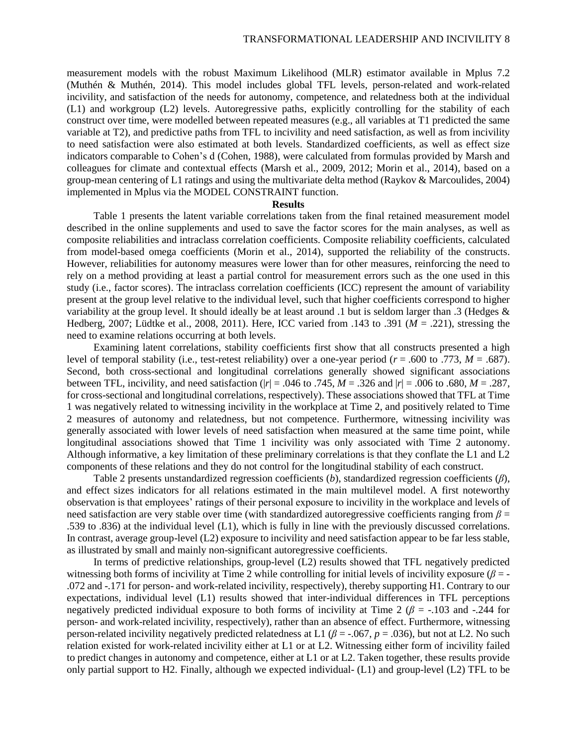measurement models with the robust Maximum Likelihood (MLR) estimator available in Mplus 7.2 (Muthén & Muthén, 2014). This model includes global TFL levels, person-related and work-related incivility, and satisfaction of the needs for autonomy, competence, and relatedness both at the individual (L1) and workgroup (L2) levels. Autoregressive paths, explicitly controlling for the stability of each construct over time, were modelled between repeated measures (e.g., all variables at T1 predicted the same variable at T2), and predictive paths from TFL to incivility and need satisfaction, as well as from incivility to need satisfaction were also estimated at both levels. Standardized coefficients, as well as effect size indicators comparable to Cohen's d (Cohen, 1988), were calculated from formulas provided by Marsh and colleagues for climate and contextual effects (Marsh et al., 2009, 2012; Morin et al., 2014), based on a group-mean centering of L1 ratings and using the multivariate delta method (Raykov & Marcoulides, 2004) implemented in Mplus via the MODEL CONSTRAINT function.

#### **Results**

Table 1 presents the latent variable correlations taken from the final retained measurement model described in the online supplements and used to save the factor scores for the main analyses, as well as composite reliabilities and intraclass correlation coefficients. Composite reliability coefficients, calculated from model-based omega coefficients (Morin et al., 2014), supported the reliability of the constructs. However, reliabilities for autonomy measures were lower than for other measures, reinforcing the need to rely on a method providing at least a partial control for measurement errors such as the one used in this study (i.e., factor scores). The intraclass correlation coefficients (ICC) represent the amount of variability present at the group level relative to the individual level, such that higher coefficients correspond to higher variability at the group level. It should ideally be at least around .1 but is seldom larger than .3 (Hedges & Hedberg, 2007; Lüdtke et al., 2008, 2011). Here, ICC varied from .143 to .391 (*M* = .221), stressing the need to examine relations occurring at both levels.

Examining latent correlations, stability coefficients first show that all constructs presented a high level of temporal stability (i.e., test-retest reliability) over a one-year period ( $r = .600$  to .773,  $M = .687$ ). Second, both cross-sectional and longitudinal correlations generally showed significant associations between TFL, incivility, and need satisfaction ( $|r| = .046$  to  $.745$ ,  $M = .326$  and  $|r| = .006$  to  $.680$ ,  $M = .287$ , for cross-sectional and longitudinal correlations, respectively). These associations showed that TFL at Time 1 was negatively related to witnessing incivility in the workplace at Time 2, and positively related to Time 2 measures of autonomy and relatedness, but not competence. Furthermore, witnessing incivility was generally associated with lower levels of need satisfaction when measured at the same time point, while longitudinal associations showed that Time 1 incivility was only associated with Time 2 autonomy. Although informative, a key limitation of these preliminary correlations is that they conflate the L1 and L2 components of these relations and they do not control for the longitudinal stability of each construct.

Table 2 presents unstandardized regression coefficients (*b*), standardized regression coefficients (*β*), and effect sizes indicators for all relations estimated in the main multilevel model. A first noteworthy observation is that employees' ratings of their personal exposure to incivility in the workplace and levels of need satisfaction are very stable over time (with standardized autoregressive coefficients ranging from *β* = .539 to .836) at the individual level (L1), which is fully in line with the previously discussed correlations. In contrast, average group-level (L2) exposure to incivility and need satisfaction appear to be far less stable, as illustrated by small and mainly non-significant autoregressive coefficients.

In terms of predictive relationships, group-level (L2) results showed that TFL negatively predicted witnessing both forms of incivility at Time 2 while controlling for initial levels of incivility exposure (*β* = - .072 and -.171 for person- and work-related incivility, respectively), thereby supporting H1. Contrary to our expectations, individual level (L1) results showed that inter-individual differences in TFL perceptions negatively predicted individual exposure to both forms of incivility at Time 2 ( $\beta$  = -.103 and -.244 for person- and work-related incivility, respectively), rather than an absence of effect. Furthermore, witnessing person-related incivility negatively predicted relatedness at L1 ( $\beta$  = -.067,  $p$  = .036), but not at L2. No such relation existed for work-related incivility either at L1 or at L2. Witnessing either form of incivility failed to predict changes in autonomy and competence, either at L1 or at L2. Taken together, these results provide only partial support to H2. Finally, although we expected individual- (L1) and group-level (L2) TFL to be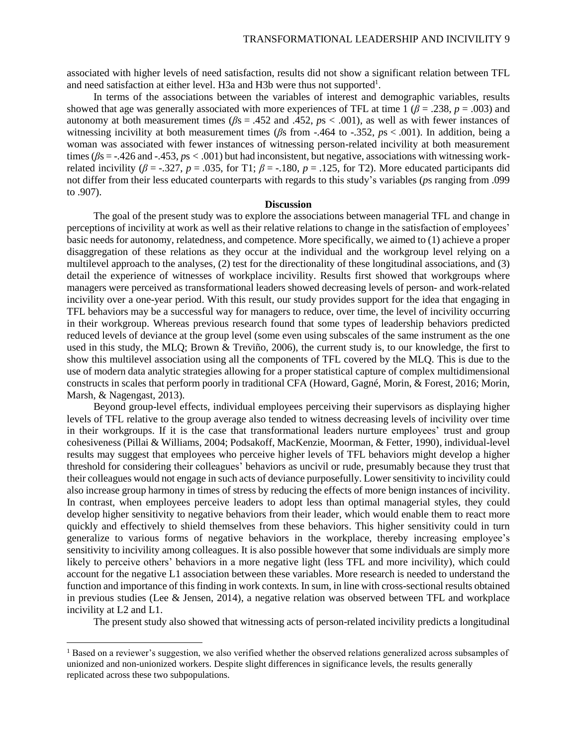associated with higher levels of need satisfaction, results did not show a significant relation between TFL and need satisfaction at either level. H3a and H3b were thus not supported<sup>1</sup>.

In terms of the associations between the variables of interest and demographic variables, results showed that age was generally associated with more experiences of TFL at time 1 ( $\beta$  = .238,  $p$  = .003) and autonomy at both measurement times (*β*s = .452 and .452, *p*s < .001), as well as with fewer instances of witnessing incivility at both measurement times (*β*s from -.464 to -.352, *p*s < .001). In addition, being a woman was associated with fewer instances of witnessing person-related incivility at both measurement times ( $β$ s = -.426 and -.453,  $ps < .001$ ) but had inconsistent, but negative, associations with witnessing workrelated incivility ( $\beta$  = -.327,  $p$  = .035, for T1;  $\beta$  = -.180,  $p$  = .125, for T2). More educated participants did not differ from their less educated counterparts with regards to this study's variables (*p*s ranging from .099 to .907).

#### **Discussion**

The goal of the present study was to explore the associations between managerial TFL and change in perceptions of incivility at work as well as their relative relations to change in the satisfaction of employees' basic needs for autonomy, relatedness, and competence. More specifically, we aimed to (1) achieve a proper disaggregation of these relations as they occur at the individual and the workgroup level relying on a multilevel approach to the analyses, (2) test for the directionality of these longitudinal associations, and (3) detail the experience of witnesses of workplace incivility. Results first showed that workgroups where managers were perceived as transformational leaders showed decreasing levels of person- and work-related incivility over a one-year period. With this result, our study provides support for the idea that engaging in TFL behaviors may be a successful way for managers to reduce, over time, the level of incivility occurring in their workgroup. Whereas previous research found that some types of leadership behaviors predicted reduced levels of deviance at the group level (some even using subscales of the same instrument as the one used in this study, the MLQ; Brown & Treviño, 2006), the current study is, to our knowledge, the first to show this multilevel association using all the components of TFL covered by the MLQ. This is due to the use of modern data analytic strategies allowing for a proper statistical capture of complex multidimensional constructs in scales that perform poorly in traditional CFA (Howard, Gagné, Morin, & Forest, 2016; Morin, Marsh, & Nagengast, 2013).

Beyond group-level effects, individual employees perceiving their supervisors as displaying higher levels of TFL relative to the group average also tended to witness decreasing levels of incivility over time in their workgroups. If it is the case that transformational leaders nurture employees' trust and group cohesiveness (Pillai & Williams, 2004; Podsakoff, MacKenzie, Moorman, & Fetter, 1990), individual-level results may suggest that employees who perceive higher levels of TFL behaviors might develop a higher threshold for considering their colleagues' behaviors as uncivil or rude, presumably because they trust that their colleagues would not engage in such acts of deviance purposefully. Lower sensitivity to incivility could also increase group harmony in times of stress by reducing the effects of more benign instances of incivility. In contrast, when employees perceive leaders to adopt less than optimal managerial styles, they could develop higher sensitivity to negative behaviors from their leader, which would enable them to react more quickly and effectively to shield themselves from these behaviors. This higher sensitivity could in turn generalize to various forms of negative behaviors in the workplace, thereby increasing employee's sensitivity to incivility among colleagues. It is also possible however that some individuals are simply more likely to perceive others' behaviors in a more negative light (less TFL and more incivility), which could account for the negative L1 association between these variables. More research is needed to understand the function and importance of this finding in work contexts. In sum, in line with cross-sectional results obtained in previous studies (Lee & Jensen, 2014), a negative relation was observed between TFL and workplace incivility at L2 and L1.

The present study also showed that witnessing acts of person-related incivility predicts a longitudinal

l

<sup>&</sup>lt;sup>1</sup> Based on a reviewer's suggestion, we also verified whether the observed relations generalized across subsamples of unionized and non-unionized workers. Despite slight differences in significance levels, the results generally replicated across these two subpopulations.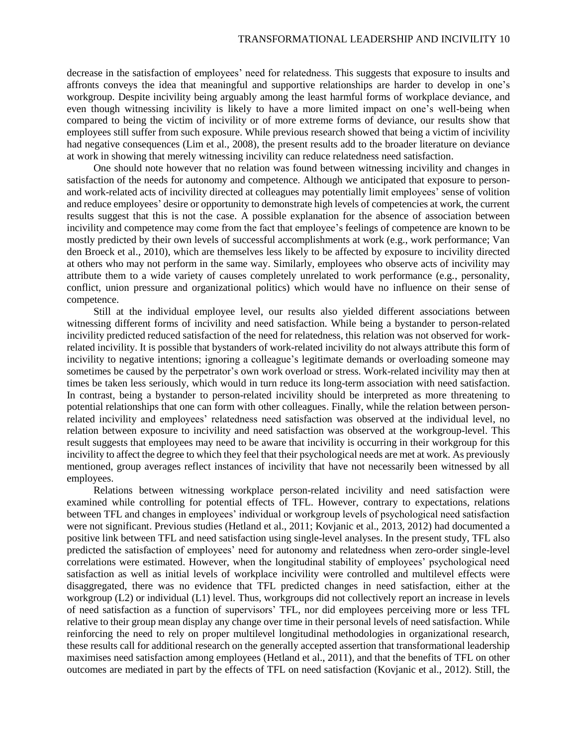decrease in the satisfaction of employees' need for relatedness. This suggests that exposure to insults and affronts conveys the idea that meaningful and supportive relationships are harder to develop in one's workgroup. Despite incivility being arguably among the least harmful forms of workplace deviance, and even though witnessing incivility is likely to have a more limited impact on one's well-being when compared to being the victim of incivility or of more extreme forms of deviance, our results show that employees still suffer from such exposure. While previous research showed that being a victim of incivility had negative consequences (Lim et al., 2008), the present results add to the broader literature on deviance at work in showing that merely witnessing incivility can reduce relatedness need satisfaction.

One should note however that no relation was found between witnessing incivility and changes in satisfaction of the needs for autonomy and competence. Although we anticipated that exposure to personand work-related acts of incivility directed at colleagues may potentially limit employees' sense of volition and reduce employees' desire or opportunity to demonstrate high levels of competencies at work, the current results suggest that this is not the case. A possible explanation for the absence of association between incivility and competence may come from the fact that employee's feelings of competence are known to be mostly predicted by their own levels of successful accomplishments at work (e.g., work performance; Van den Broeck et al., 2010), which are themselves less likely to be affected by exposure to incivility directed at others who may not perform in the same way. Similarly, employees who observe acts of incivility may attribute them to a wide variety of causes completely unrelated to work performance (e.g., personality, conflict, union pressure and organizational politics) which would have no influence on their sense of competence.

Still at the individual employee level, our results also yielded different associations between witnessing different forms of incivility and need satisfaction. While being a bystander to person-related incivility predicted reduced satisfaction of the need for relatedness, this relation was not observed for workrelated incivility. It is possible that bystanders of work-related incivility do not always attribute this form of incivility to negative intentions; ignoring a colleague's legitimate demands or overloading someone may sometimes be caused by the perpetrator's own work overload or stress. Work-related incivility may then at times be taken less seriously, which would in turn reduce its long-term association with need satisfaction. In contrast, being a bystander to person-related incivility should be interpreted as more threatening to potential relationships that one can form with other colleagues. Finally, while the relation between personrelated incivility and employees' relatedness need satisfaction was observed at the individual level, no relation between exposure to incivility and need satisfaction was observed at the workgroup-level. This result suggests that employees may need to be aware that incivility is occurring in their workgroup for this incivility to affect the degree to which they feel that their psychological needs are met at work. As previously mentioned, group averages reflect instances of incivility that have not necessarily been witnessed by all employees.

Relations between witnessing workplace person-related incivility and need satisfaction were examined while controlling for potential effects of TFL. However, contrary to expectations, relations between TFL and changes in employees' individual or workgroup levels of psychological need satisfaction were not significant. Previous studies (Hetland et al., 2011; Kovjanic et al., 2013, 2012) had documented a positive link between TFL and need satisfaction using single-level analyses. In the present study, TFL also predicted the satisfaction of employees' need for autonomy and relatedness when zero-order single-level correlations were estimated. However, when the longitudinal stability of employees' psychological need satisfaction as well as initial levels of workplace incivility were controlled and multilevel effects were disaggregated, there was no evidence that TFL predicted changes in need satisfaction, either at the workgroup (L2) or individual (L1) level. Thus, workgroups did not collectively report an increase in levels of need satisfaction as a function of supervisors' TFL, nor did employees perceiving more or less TFL relative to their group mean display any change over time in their personal levels of need satisfaction. While reinforcing the need to rely on proper multilevel longitudinal methodologies in organizational research, these results call for additional research on the generally accepted assertion that transformational leadership maximises need satisfaction among employees (Hetland et al., 2011), and that the benefits of TFL on other outcomes are mediated in part by the effects of TFL on need satisfaction (Kovjanic et al., 2012). Still, the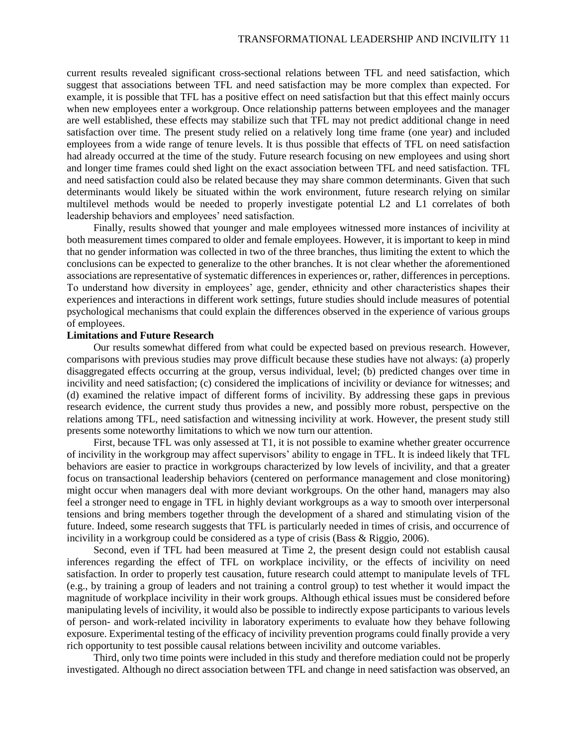current results revealed significant cross-sectional relations between TFL and need satisfaction, which suggest that associations between TFL and need satisfaction may be more complex than expected. For example, it is possible that TFL has a positive effect on need satisfaction but that this effect mainly occurs when new employees enter a workgroup. Once relationship patterns between employees and the manager are well established, these effects may stabilize such that TFL may not predict additional change in need satisfaction over time. The present study relied on a relatively long time frame (one year) and included employees from a wide range of tenure levels. It is thus possible that effects of TFL on need satisfaction had already occurred at the time of the study. Future research focusing on new employees and using short and longer time frames could shed light on the exact association between TFL and need satisfaction. TFL and need satisfaction could also be related because they may share common determinants. Given that such determinants would likely be situated within the work environment, future research relying on similar multilevel methods would be needed to properly investigate potential L2 and L1 correlates of both leadership behaviors and employees' need satisfaction.

Finally, results showed that younger and male employees witnessed more instances of incivility at both measurement times compared to older and female employees. However, it is important to keep in mind that no gender information was collected in two of the three branches, thus limiting the extent to which the conclusions can be expected to generalize to the other branches. It is not clear whether the aforementioned associations are representative of systematic differences in experiences or, rather, differences in perceptions. To understand how diversity in employees' age, gender, ethnicity and other characteristics shapes their experiences and interactions in different work settings, future studies should include measures of potential psychological mechanisms that could explain the differences observed in the experience of various groups of employees.

### **Limitations and Future Research**

Our results somewhat differed from what could be expected based on previous research. However, comparisons with previous studies may prove difficult because these studies have not always: (a) properly disaggregated effects occurring at the group, versus individual, level; (b) predicted changes over time in incivility and need satisfaction; (c) considered the implications of incivility or deviance for witnesses; and (d) examined the relative impact of different forms of incivility. By addressing these gaps in previous research evidence, the current study thus provides a new, and possibly more robust, perspective on the relations among TFL, need satisfaction and witnessing incivility at work. However, the present study still presents some noteworthy limitations to which we now turn our attention.

First, because TFL was only assessed at T1, it is not possible to examine whether greater occurrence of incivility in the workgroup may affect supervisors' ability to engage in TFL. It is indeed likely that TFL behaviors are easier to practice in workgroups characterized by low levels of incivility, and that a greater focus on transactional leadership behaviors (centered on performance management and close monitoring) might occur when managers deal with more deviant workgroups. On the other hand, managers may also feel a stronger need to engage in TFL in highly deviant workgroups as a way to smooth over interpersonal tensions and bring members together through the development of a shared and stimulating vision of the future. Indeed, some research suggests that TFL is particularly needed in times of crisis, and occurrence of incivility in a workgroup could be considered as a type of crisis (Bass & Riggio, 2006).

Second, even if TFL had been measured at Time 2, the present design could not establish causal inferences regarding the effect of TFL on workplace incivility, or the effects of incivility on need satisfaction. In order to properly test causation, future research could attempt to manipulate levels of TFL (e.g., by training a group of leaders and not training a control group) to test whether it would impact the magnitude of workplace incivility in their work groups. Although ethical issues must be considered before manipulating levels of incivility, it would also be possible to indirectly expose participants to various levels of person- and work-related incivility in laboratory experiments to evaluate how they behave following exposure. Experimental testing of the efficacy of incivility prevention programs could finally provide a very rich opportunity to test possible causal relations between incivility and outcome variables.

Third, only two time points were included in this study and therefore mediation could not be properly investigated. Although no direct association between TFL and change in need satisfaction was observed, an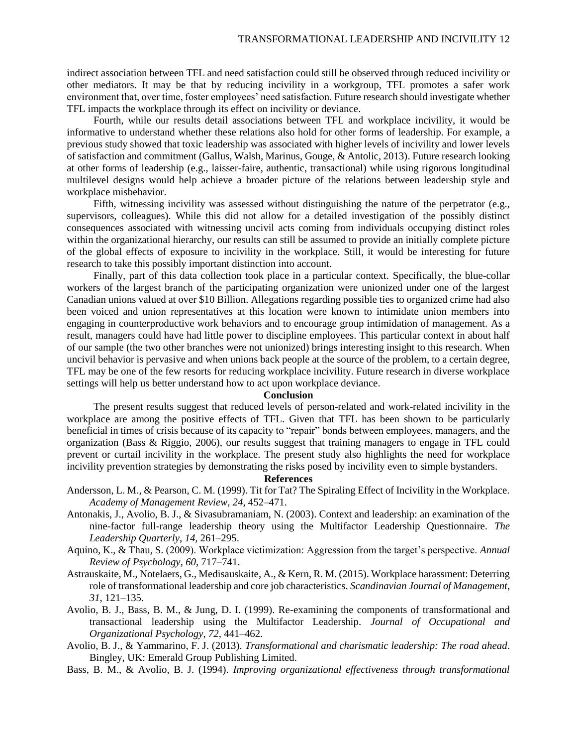indirect association between TFL and need satisfaction could still be observed through reduced incivility or other mediators. It may be that by reducing incivility in a workgroup, TFL promotes a safer work environment that, over time, foster employees' need satisfaction. Future research should investigate whether TFL impacts the workplace through its effect on incivility or deviance.

Fourth, while our results detail associations between TFL and workplace incivility, it would be informative to understand whether these relations also hold for other forms of leadership. For example, a previous study showed that toxic leadership was associated with higher levels of incivility and lower levels of satisfaction and commitment (Gallus, Walsh, Marinus, Gouge, & Antolic, 2013). Future research looking at other forms of leadership (e.g., laisser-faire, authentic, transactional) while using rigorous longitudinal multilevel designs would help achieve a broader picture of the relations between leadership style and workplace misbehavior.

Fifth, witnessing incivility was assessed without distinguishing the nature of the perpetrator (e.g., supervisors, colleagues). While this did not allow for a detailed investigation of the possibly distinct consequences associated with witnessing uncivil acts coming from individuals occupying distinct roles within the organizational hierarchy, our results can still be assumed to provide an initially complete picture of the global effects of exposure to incivility in the workplace. Still, it would be interesting for future research to take this possibly important distinction into account.

Finally, part of this data collection took place in a particular context. Specifically, the blue-collar workers of the largest branch of the participating organization were unionized under one of the largest Canadian unions valued at over \$10 Billion. Allegations regarding possible ties to organized crime had also been voiced and union representatives at this location were known to intimidate union members into engaging in counterproductive work behaviors and to encourage group intimidation of management. As a result, managers could have had little power to discipline employees. This particular context in about half of our sample (the two other branches were not unionized) brings interesting insight to this research. When uncivil behavior is pervasive and when unions back people at the source of the problem, to a certain degree, TFL may be one of the few resorts for reducing workplace incivility. Future research in diverse workplace settings will help us better understand how to act upon workplace deviance.

## **Conclusion**

The present results suggest that reduced levels of person-related and work-related incivility in the workplace are among the positive effects of TFL. Given that TFL has been shown to be particularly beneficial in times of crisis because of its capacity to "repair" bonds between employees, managers, and the organization (Bass & Riggio, 2006), our results suggest that training managers to engage in TFL could prevent or curtail incivility in the workplace. The present study also highlights the need for workplace incivility prevention strategies by demonstrating the risks posed by incivility even to simple bystanders.

# **References**

- Andersson, L. M., & Pearson, C. M. (1999). Tit for Tat? The Spiraling Effect of Incivility in the Workplace. *Academy of Management Review*, *24*, 452–471.
- Antonakis, J., Avolio, B. J., & Sivasubramaniam, N. (2003). Context and leadership: an examination of the nine-factor full-range leadership theory using the Multifactor Leadership Questionnaire. *The Leadership Quarterly*, *14*, 261–295.
- Aquino, K., & Thau, S. (2009). Workplace victimization: Aggression from the target's perspective. *Annual Review of Psychology*, *60*, 717–741.
- Astrauskaite, M., Notelaers, G., Medisauskaite, A., & Kern, R. M. (2015). Workplace harassment: Deterring role of transformational leadership and core job characteristics. *Scandinavian Journal of Management*, *31*, 121–135.
- Avolio, B. J., Bass, B. M., & Jung, D. I. (1999). Re-examining the components of transformational and transactional leadership using the Multifactor Leadership. *Journal of Occupational and Organizational Psychology*, *72*, 441–462.
- Avolio, B. J., & Yammarino, F. J. (2013). *Transformational and charismatic leadership: The road ahead*. Bingley, UK: Emerald Group Publishing Limited.
- Bass, B. M., & Avolio, B. J. (1994). *Improving organizational effectiveness through transformational*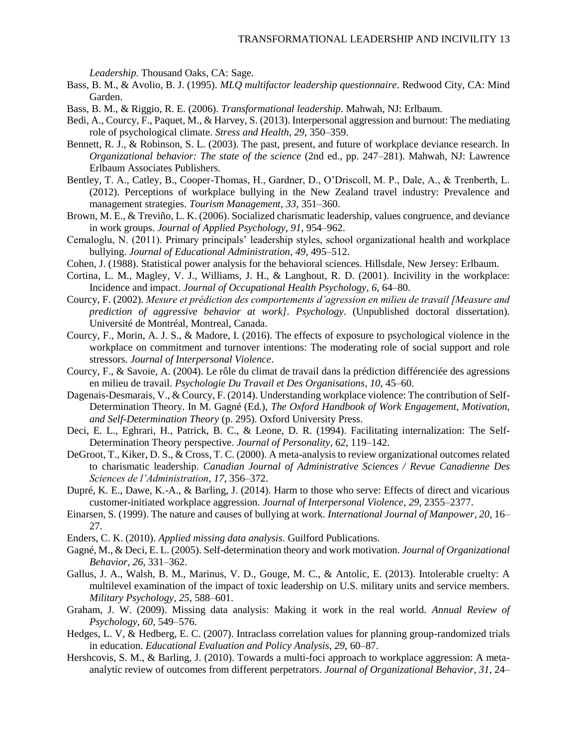*Leadership*. Thousand Oaks, CA: Sage.

- Bass, B. M., & Avolio, B. J. (1995). *MLQ multifactor leadership questionnaire*. Redwood City, CA: Mind Garden.
- Bass, B. M., & Riggio, R. E. (2006). *Transformational leadership*. Mahwah, NJ: Erlbaum.
- Bedi, A., Courcy, F., Paquet, M., & Harvey, S. (2013). Interpersonal aggression and burnout: The mediating role of psychological climate. *Stress and Health*, *29*, 350–359.
- Bennett, R. J., & Robinson, S. L. (2003). The past, present, and future of workplace deviance research. In *Organizational behavior: The state of the science* (2nd ed., pp. 247–281). Mahwah, NJ: Lawrence Erlbaum Associates Publishers.
- Bentley, T. A., Catley, B., Cooper-Thomas, H., Gardner, D., O'Driscoll, M. P., Dale, A., & Trenberth, L. (2012). Perceptions of workplace bullying in the New Zealand travel industry: Prevalence and management strategies. *Tourism Management*, *33*, 351–360.
- Brown, M. E., & Treviño, L. K. (2006). Socialized charismatic leadership, values congruence, and deviance in work groups. *Journal of Applied Psychology*, *91*, 954–962.
- Cemaloglu, N. (2011). Primary principals' leadership styles, school organizational health and workplace bullying. *Journal of Educational Administration*, *49*, 495–512.
- Cohen, J. (1988). Statistical power analysis for the behavioral sciences. Hillsdale, New Jersey: Erlbaum.
- Cortina, L. M., Magley, V. J., Williams, J. H., & Langhout, R. D. (2001). Incivility in the workplace: Incidence and impact. *Journal of Occupational Health Psychology*, *6*, 64–80.
- Courcy, F. (2002). *Mesure et prédiction des comportements d'agression en milieu de travail [Measure and prediction of aggressive behavior at work]*. *Psychology*. (Unpublished doctoral dissertation). Université de Montréal, Montreal, Canada.
- Courcy, F., Morin, A. J. S., & Madore, I. (2016). The effects of exposure to psychological violence in the workplace on commitment and turnover intentions: The moderating role of social support and role stressors. *Journal of Interpersonal Violence*.
- Courcy, F., & Savoie, A. (2004). Le rôle du climat de travail dans la prédiction différenciée des agressions en milieu de travail. *Psychologie Du Travail et Des Organisations*, *10*, 45–60.
- Dagenais-Desmarais, V., & Courcy, F. (2014). Understanding workplace violence: The contribution of Self-Determination Theory. In M. Gagné (Ed.), *The Oxford Handbook of Work Engagement, Motivation, and Self-Determination Theory* (p. 295). Oxford University Press.
- Deci, E. L., Eghrari, H., Patrick, B. C., & Leone, D. R. (1994). Facilitating internalization: The Self-Determination Theory perspective. *Journal of Personality*, *62*, 119–142.
- DeGroot, T., Kiker, D. S., & Cross, T. C. (2000). A meta-analysis to review organizational outcomes related to charismatic leadership. *Canadian Journal of Administrative Sciences / Revue Canadienne Des Sciences de l'Administration*, *17*, 356–372.
- Dupré, K. E., Dawe, K.-A., & Barling, J. (2014). Harm to those who serve: Effects of direct and vicarious customer-initiated workplace aggression. *Journal of Interpersonal Violence*, *29*, 2355–2377.
- Einarsen, S. (1999). The nature and causes of bullying at work. *International Journal of Manpower*, *20*, 16– 27.
- Enders, C. K. (2010). *Applied missing data analysis*. Guilford Publications.
- Gagné, M., & Deci, E. L. (2005). Self-determination theory and work motivation. *Journal of Organizational Behavior*, *26*, 331–362.
- Gallus, J. A., Walsh, B. M., Marinus, V. D., Gouge, M. C., & Antolic, E. (2013). Intolerable cruelty: A multilevel examination of the impact of toxic leadership on U.S. military units and service members. *Military Psychology*, *25*, 588–601.
- Graham, J. W. (2009). Missing data analysis: Making it work in the real world. *Annual Review of Psychology*, *60*, 549–576.
- Hedges, L. V, & Hedberg, E. C. (2007). Intraclass correlation values for planning group-randomized trials in education. *Educational Evaluation and Policy Analysis*, *29*, 60–87.
- Hershcovis, S. M., & Barling, J. (2010). Towards a multi-foci approach to workplace aggression: A metaanalytic review of outcomes from different perpetrators. *Journal of Organizational Behavior*, *31*, 24–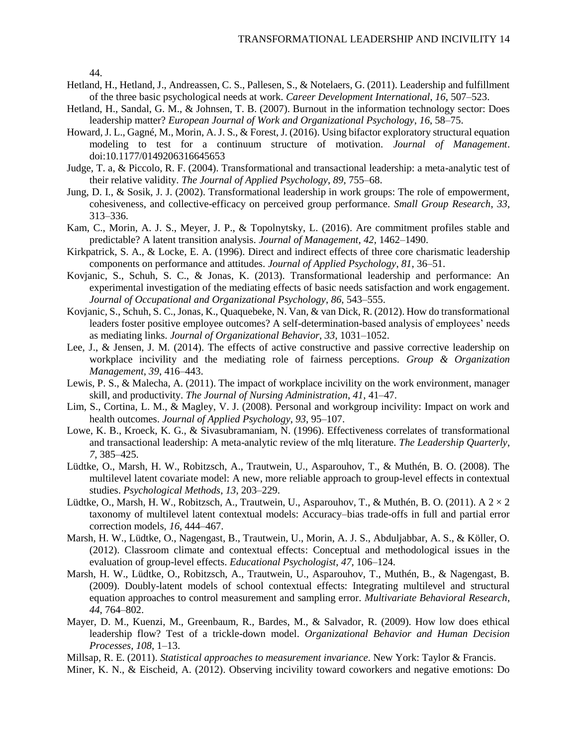44.

- Hetland, H., Hetland, J., Andreassen, C. S., Pallesen, S., & Notelaers, G. (2011). Leadership and fulfillment of the three basic psychological needs at work. *Career Development International*, *16*, 507–523.
- Hetland, H., Sandal, G. M., & Johnsen, T. B. (2007). Burnout in the information technology sector: Does leadership matter? *European Journal of Work and Organizational Psychology*, *16*, 58–75.
- Howard, J. L., Gagné, M., Morin, A. J. S., & Forest, J. (2016). Using bifactor exploratory structural equation modeling to test for a continuum structure of motivation. *Journal of Management*. doi:10.1177/0149206316645653
- Judge, T. a, & Piccolo, R. F. (2004). Transformational and transactional leadership: a meta-analytic test of their relative validity. *The Journal of Applied Psychology*, *89*, 755–68.
- Jung, D. I., & Sosik, J. J. (2002). Transformational leadership in work groups: The role of empowerment, cohesiveness, and collective-efficacy on perceived group performance. *Small Group Research*, *33*, 313–336.
- Kam, C., Morin, A. J. S., Meyer, J. P., & Topolnytsky, L. (2016). Are commitment profiles stable and predictable? A latent transition analysis. *Journal of Management*, *42*, 1462–1490.
- Kirkpatrick, S. A., & Locke, E. A. (1996). Direct and indirect effects of three core charismatic leadership components on performance and attitudes. *Journal of Applied Psychology*, *81*, 36–51.
- Kovjanic, S., Schuh, S. C., & Jonas, K. (2013). Transformational leadership and performance: An experimental investigation of the mediating effects of basic needs satisfaction and work engagement. *Journal of Occupational and Organizational Psychology*, *86*, 543–555.
- Kovjanic, S., Schuh, S. C., Jonas, K., Quaquebeke, N. Van, & van Dick, R. (2012). How do transformational leaders foster positive employee outcomes? A self-determination-based analysis of employees' needs as mediating links. *Journal of Organizational Behavior*, *33*, 1031–1052.
- Lee, J., & Jensen, J. M. (2014). The effects of active constructive and passive corrective leadership on workplace incivility and the mediating role of fairness perceptions. *Group & Organization Management*, *39*, 416–443.
- Lewis, P. S., & Malecha, A. (2011). The impact of workplace incivility on the work environment, manager skill, and productivity. *The Journal of Nursing Administration*, *41*, 41–47.
- Lim, S., Cortina, L. M., & Magley, V. J. (2008). Personal and workgroup incivility: Impact on work and health outcomes. *Journal of Applied Psychology*, *93*, 95–107.
- Lowe, K. B., Kroeck, K. G., & Sivasubramaniam, N. (1996). Effectiveness correlates of transformational and transactional leadership: A meta-analytic review of the mlq literature. *The Leadership Quarterly*, *7*, 385–425.
- Lüdtke, O., Marsh, H. W., Robitzsch, A., Trautwein, U., Asparouhov, T., & Muthén, B. O. (2008). The multilevel latent covariate model: A new, more reliable approach to group-level effects in contextual studies. *Psychological Methods*, *13*, 203–229.
- Lüdtke, O., Marsh, H. W., Robitzsch, A., Trautwein, U., Asparouhov, T., & Muthén, B. O. (2011). A  $2 \times 2$ taxonomy of multilevel latent contextual models: Accuracy–bias trade-offs in full and partial error correction models, *16*, 444–467.
- Marsh, H. W., Lüdtke, O., Nagengast, B., Trautwein, U., Morin, A. J. S., Abduljabbar, A. S., & Köller, O. (2012). Classroom climate and contextual effects: Conceptual and methodological issues in the evaluation of group-level effects. *Educational Psychologist*, *47*, 106–124.
- Marsh, H. W., Lüdtke, O., Robitzsch, A., Trautwein, U., Asparouhov, T., Muthén, B., & Nagengast, B. (2009). Doubly-latent models of school contextual effects: Integrating multilevel and structural equation approaches to control measurement and sampling error. *Multivariate Behavioral Research*, *44*, 764–802.
- Mayer, D. M., Kuenzi, M., Greenbaum, R., Bardes, M., & Salvador, R. (2009). How low does ethical leadership flow? Test of a trickle-down model. *Organizational Behavior and Human Decision Processes*, *108*, 1–13.

Millsap, R. E. (2011). *Statistical approaches to measurement invariance*. New York: Taylor & Francis.

Miner, K. N., & Eischeid, A. (2012). Observing incivility toward coworkers and negative emotions: Do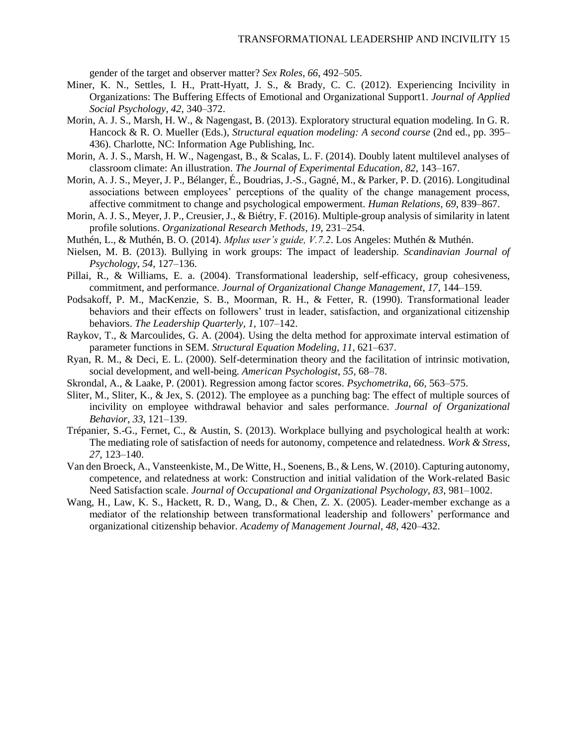gender of the target and observer matter? *Sex Roles*, *66*, 492–505.

- Miner, K. N., Settles, I. H., Pratt-Hyatt, J. S., & Brady, C. C. (2012). Experiencing Incivility in Organizations: The Buffering Effects of Emotional and Organizational Support1. *Journal of Applied Social Psychology*, *42*, 340–372.
- Morin, A. J. S., Marsh, H. W., & Nagengast, B. (2013). Exploratory structural equation modeling. In G. R. Hancock & R. O. Mueller (Eds.), *Structural equation modeling: A second course* (2nd ed., pp. 395– 436). Charlotte, NC: Information Age Publishing, Inc.
- Morin, A. J. S., Marsh, H. W., Nagengast, B., & Scalas, L. F. (2014). Doubly latent multilevel analyses of classroom climate: An illustration. *The Journal of Experimental Education*, *82*, 143–167.
- Morin, A. J. S., Meyer, J. P., Bélanger, É., Boudrias, J.-S., Gagné, M., & Parker, P. D. (2016). Longitudinal associations between employees' perceptions of the quality of the change management process, affective commitment to change and psychological empowerment. *Human Relations*, *69*, 839–867.
- Morin, A. J. S., Meyer, J. P., Creusier, J., & Biétry, F. (2016). Multiple-group analysis of similarity in latent profile solutions. *Organizational Research Methods*, *19*, 231–254.
- Muthén, L., & Muthén, B. O. (2014). *Mplus user's guide, V.7.2*. Los Angeles: Muthén & Muthén.
- Nielsen, M. B. (2013). Bullying in work groups: The impact of leadership. *Scandinavian Journal of Psychology*, *54*, 127–136.
- Pillai, R., & Williams, E. a. (2004). Transformational leadership, self-efficacy, group cohesiveness, commitment, and performance. *Journal of Organizational Change Management*, *17*, 144–159.
- Podsakoff, P. M., MacKenzie, S. B., Moorman, R. H., & Fetter, R. (1990). Transformational leader behaviors and their effects on followers' trust in leader, satisfaction, and organizational citizenship behaviors. *The Leadership Quarterly*, *1*, 107–142.
- Raykov, T., & Marcoulides, G. A. (2004). Using the delta method for approximate interval estimation of parameter functions in SEM. *Structural Equation Modeling*, *11*, 621–637.
- Ryan, R. M., & Deci, E. L. (2000). Self-determination theory and the facilitation of intrinsic motivation, social development, and well-being. *American Psychologist*, *55*, 68–78.
- Skrondal, A., & Laake, P. (2001). Regression among factor scores. *Psychometrika*, *66*, 563–575.
- Sliter, M., Sliter, K., & Jex, S. (2012). The employee as a punching bag: The effect of multiple sources of incivility on employee withdrawal behavior and sales performance. *Journal of Organizational Behavior*, *33*, 121–139.
- Trépanier, S.-G., Fernet, C., & Austin, S. (2013). Workplace bullying and psychological health at work: The mediating role of satisfaction of needs for autonomy, competence and relatedness. *Work & Stress*, *27*, 123–140.
- Van den Broeck, A., Vansteenkiste, M., De Witte, H., Soenens, B., & Lens, W. (2010). Capturing autonomy, competence, and relatedness at work: Construction and initial validation of the Work-related Basic Need Satisfaction scale. *Journal of Occupational and Organizational Psychology*, *83*, 981–1002.
- Wang, H., Law, K. S., Hackett, R. D., Wang, D., & Chen, Z. X. (2005). Leader-member exchange as a mediator of the relationship between transformational leadership and followers' performance and organizational citizenship behavior. *Academy of Management Journal*, *48*, 420–432.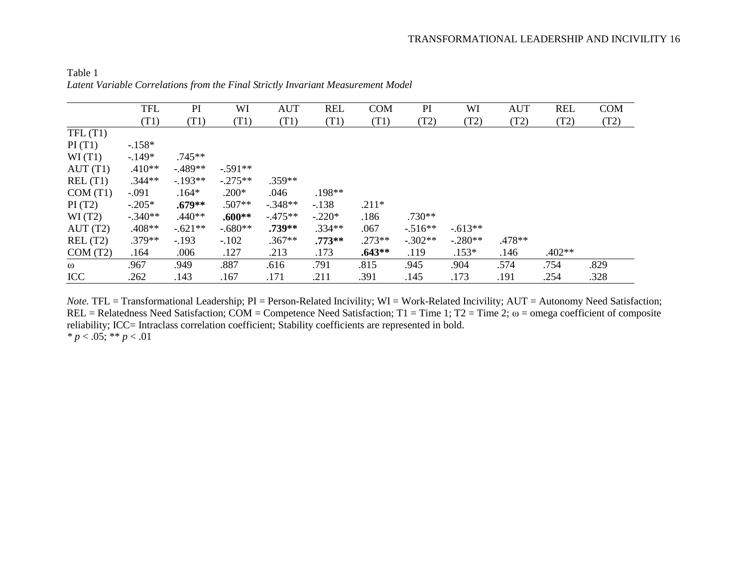|            | <b>TFL</b> | PI        | WI        | <b>AUT</b> | <b>REL</b> | <b>COM</b> | PI        | WI        | <b>AUT</b> | <b>REL</b> | <b>COM</b> |
|------------|------------|-----------|-----------|------------|------------|------------|-----------|-----------|------------|------------|------------|
|            | (T1)       | (T1)      | (T1)      | (T1)       | (T1)       | (T1)       | (T2)      | (T2)      | (T2)       | (T2)       | (T2)       |
| TFL(T1)    |            |           |           |            |            |            |           |           |            |            |            |
| PI(T1)     | $-.158*$   |           |           |            |            |            |           |           |            |            |            |
| WI(T1)     | $-149*$    | $.745**$  |           |            |            |            |           |           |            |            |            |
| AUT(T1)    | $.410**$   | $-489**$  | $-.591**$ |            |            |            |           |           |            |            |            |
| REL(T1)    | $.344**$   | $-193**$  | $-.275**$ | $.359**$   |            |            |           |           |            |            |            |
| COM(T1)    | $-.091$    | $.164*$   | $.200*$   | .046       | .198**     |            |           |           |            |            |            |
| PI(T2)     | $-.205*$   | $.679**$  | $.507**$  | $-.348**$  | $-138$     | $.211*$    |           |           |            |            |            |
| WI(T2)     | $-.340**$  | $.440**$  | $.600**$  | $-475**$   | $-.220*$   | .186       | $.730**$  |           |            |            |            |
| AUT(T2)    | $.408**$   | $-.621**$ | $-.680**$ | $.739**$   | $.334**$   | .067       | $-516**$  | $-.613**$ |            |            |            |
| REL(T2)    | $.379**$   | $-.193$   | $-.102$   | $.367**$   | $.773**$   | $.273**$   | $-.302**$ | $-.280**$ | .478**     |            |            |
| COM(T2)    | .164       | .006      | .127      | .213       | .173       | $.643**$   | .119      | $.153*$   | .146       | $.402**$   |            |
| $\omega$   | .967       | .949      | .887      | .616       | .791       | .815       | .945      | .904      | .574       | .754       | .829       |
| <b>ICC</b> | .262       | .143      | .167      | .171       | .211       | .391       | .145      | .173      | .191       | .254       | .328       |

Table 1 *Latent Variable Correlations from the Final Strictly Invariant Measurement Model*

*Note.* TFL = Transformational Leadership; PI = Person-Related Incivility; WI = Work-Related Incivility; AUT = Autonomy Need Satisfaction; REL = Relatedness Need Satisfaction; COM = Competence Need Satisfaction; T1 = Time 1; T2 = Time 2;  $\omega$  = omega coefficient of composite reliability; ICC= Intraclass correlation coefficient; Stability coefficients are represented in bold. *\* p* < .05; \*\* *p* < .01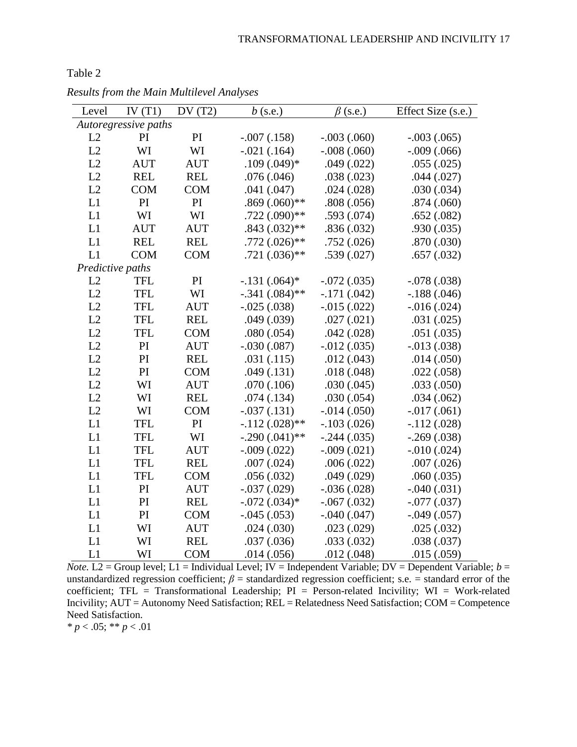| Level            | IV $(T1)$            | DV(T2)     | $b$ (s.e.)       | $\beta$ (s.e.)     | Effect Size (s.e.) |
|------------------|----------------------|------------|------------------|--------------------|--------------------|
|                  | Autoregressive paths |            |                  |                    |                    |
| L2               | PI                   | PI         | $-.007(.158)$    | $-.003(.060)$      | $-.003(.065)$      |
| L2               | WI                   | WI         | $-.021(.164)$    | $-.008(.060)$      | $-.009(.066)$      |
| L2               | <b>AUT</b>           | <b>AUT</b> | $.109(.049)*$    | .049(.022)         | .055(.025)         |
| L2               | <b>REL</b>           | <b>REL</b> | .076(.046)       | .038(.023)         | .044(.027)         |
| L2               | <b>COM</b>           | <b>COM</b> | .041(.047)       | .024(.028)         | .030(.034)         |
| L1               | PI                   | PI         | $.869(.060)$ **  | .808(.056)         | .874(.060)         |
| L1               | WI                   | WI         | $.722(.090)$ **  | .593(.074)         | .652(.082)         |
| L1               | <b>AUT</b>           | <b>AUT</b> | $.843(.032)$ **  | .836(.032)         | .930(.035)         |
| L1               | <b>REL</b>           | <b>REL</b> | $.772(.026)$ **  | .752(.026)         | .870(.030)         |
| L1               | <b>COM</b>           | <b>COM</b> | $.721(.036)$ **  | .539(.027)         | .657(.032)         |
| Predictive paths |                      |            |                  |                    |                    |
| L2               | <b>TFL</b>           | PI         | $-.131(.064)*$   | $-.072(.035)$      | $-.078(.038)$      |
| L2               | <b>TFL</b>           | WI         | $-.341(.084)$ ** | $-.171(.042)$      | $-.188(.046)$      |
| L2               | <b>TFL</b>           | <b>AUT</b> | $-.025(.038)$    | $-0.015(0.022)$    | $-0.016(0.024)$    |
| L2               | <b>TFL</b>           | <b>REL</b> | .049(.039)       | .027(.021)         | .031(.025)         |
| L2               | <b>TFL</b>           | <b>COM</b> | .080(.054)       | .042(.028)         | .051(.035)         |
| L2               | PI                   | <b>AUT</b> | $-.030(.087)$    | $-0.012(0.035)$    | $-0.013(0.038)$    |
| L2               | PI                   | <b>REL</b> | .031(.115)       | .012(.043)         | .014(.050)         |
| L2               | PI                   | <b>COM</b> | .049(.131)       | .018(.048)         | .022(.058)         |
| L2               | WI                   | <b>AUT</b> | .070(.106)       | .030(.045)         | .033(.050)         |
| L2               | WI                   | <b>REL</b> | .074(.134)       | .030(.054)         | .034(.062)         |
| L2               | WI                   | <b>COM</b> | $-.037(.131)$    | $-0.014$ $(0.050)$ | $-0.017(0.061)$    |
| L1               | <b>TFL</b>           | PI         | $-.112(.028)$ ** | $-.103(.026)$      | $-.112(.028)$      |
| L1               | <b>TFL</b>           | WI         | $-.290(.041)$ ** | $-.244(.035)$      | $-.269(.038)$      |
| L1               | <b>TFL</b>           | <b>AUT</b> | $-.009(.022)$    | $-.009(.021)$      | $-0.010$ $(0.024)$ |
| L1               | <b>TFL</b>           | <b>REL</b> | .007(.024)       | .006(.022)         | .007(.026)         |
| L1               | <b>TFL</b>           | <b>COM</b> | .056(.032)       | .049(.029)         | .060(.035)         |
| L1               | PI                   | <b>AUT</b> | $-.037(.029)$    | $-.036(.028)$      | $-.040(.031)$      |
| L1               | PI                   | <b>REL</b> | $-.072(.034)*$   | $-.067(.032)$      | $-.077(.037)$      |
| L1               | PI                   | <b>COM</b> | $-.045(.053)$    | $-.040(.047)$      | $-.049(.057)$      |
| L1               | WI                   | <b>AUT</b> | .024(.030)       | .023(.029)         | .025(.032)         |
| L1               | WI                   | <b>REL</b> | .037(.036)       | .033(.032)         | .038(.037)         |
| L1               | WI                   | <b>COM</b> | .014(.056)       | .012(.048)         | .015(.059)         |

*Results from the Main Multilevel Analyses*

*Note.* L2 = Group level; L1 = Individual Level; IV = Independent Variable; DV = Dependent Variable;  $b =$ unstandardized regression coefficient;  $\beta$  = standardized regression coefficient; s.e. = standard error of the coefficient; TFL = Transformational Leadership;  $PI = Person$ -related Incivility; WI = Work-related Incivility; AUT = Autonomy Need Satisfaction; REL = Relatedness Need Satisfaction; COM = Competence Need Satisfaction.

*\* p* < .05; \*\* *p* < .01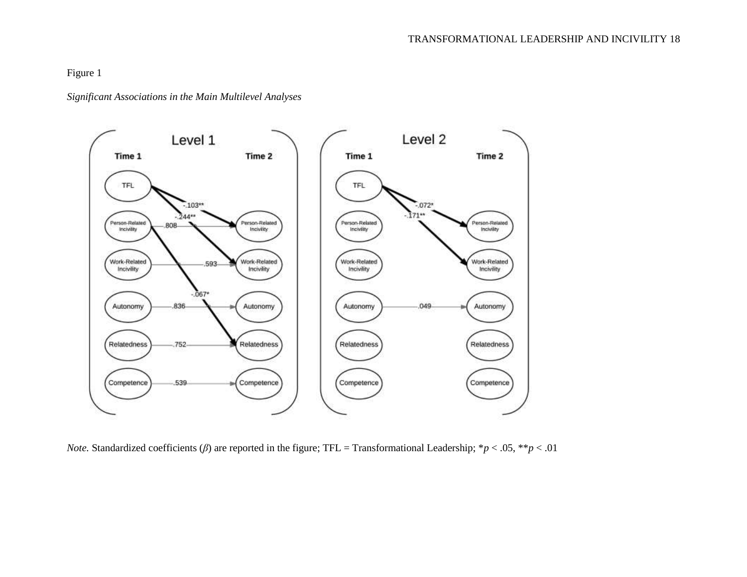Figure 1

*Significant Associations in the Main Multilevel Analyses*



*Note.* Standardized coefficients (*β*) are reported in the figure; TFL = Transformational Leadership; \**p* < .05, \*\**p* < .01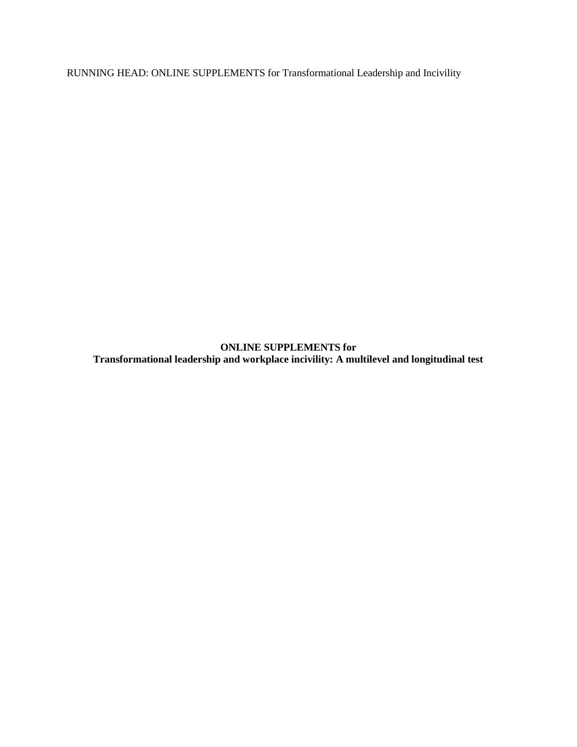RUNNING HEAD: ONLINE SUPPLEMENTS for Transformational Leadership and Incivility

**ONLINE SUPPLEMENTS for Transformational leadership and workplace incivility: A multilevel and longitudinal test**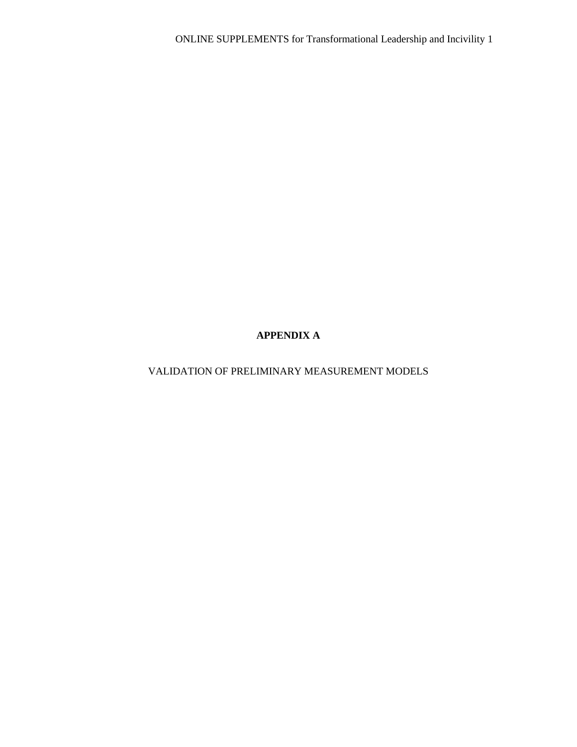# **APPENDIX A**

# VALIDATION OF PRELIMINARY MEASUREMENT MODELS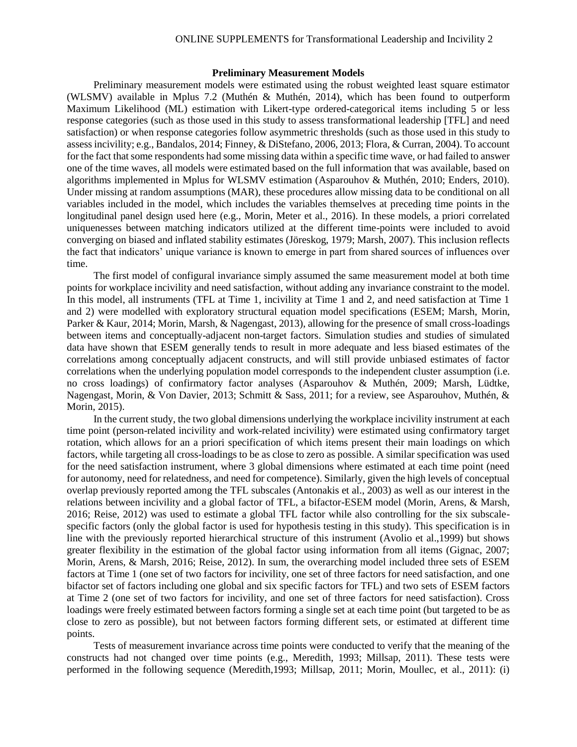### ONLINE SUPPLEMENTS for Transformational Leadership and Incivility 2

## **Preliminary Measurement Models**

Preliminary measurement models were estimated using the robust weighted least square estimator (WLSMV) available in Mplus 7.2 (Muthén & Muthén, 2014), which has been found to outperform Maximum Likelihood (ML) estimation with Likert-type ordered-categorical items including 5 or less response categories (such as those used in this study to assess transformational leadership [TFL] and need satisfaction) or when response categories follow asymmetric thresholds (such as those used in this study to assess incivility; e.g., Bandalos, 2014; Finney, & DiStefano, 2006, 2013; Flora, & Curran, 2004). To account for the fact that some respondents had some missing data within a specific time wave, or had failed to answer one of the time waves, all models were estimated based on the full information that was available, based on algorithms implemented in Mplus for WLSMV estimation (Asparouhov & Muthén, 2010; Enders, 2010). Under missing at random assumptions (MAR), these procedures allow missing data to be conditional on all variables included in the model, which includes the variables themselves at preceding time points in the longitudinal panel design used here (e.g., Morin, Meter et al., 2016). In these models, a priori correlated uniquenesses between matching indicators utilized at the different time-points were included to avoid converging on biased and inflated stability estimates (Jöreskog, 1979; Marsh, 2007). This inclusion reflects the fact that indicators' unique variance is known to emerge in part from shared sources of influences over time.

The first model of configural invariance simply assumed the same measurement model at both time points for workplace incivility and need satisfaction, without adding any invariance constraint to the model. In this model, all instruments (TFL at Time 1, incivility at Time 1 and 2, and need satisfaction at Time 1 and 2) were modelled with exploratory structural equation model specifications (ESEM; Marsh, Morin, Parker & Kaur, 2014; Morin, Marsh, & Nagengast, 2013), allowing for the presence of small cross-loadings between items and conceptually-adjacent non-target factors. Simulation studies and studies of simulated data have shown that ESEM generally tends to result in more adequate and less biased estimates of the correlations among conceptually adjacent constructs, and will still provide unbiased estimates of factor correlations when the underlying population model corresponds to the independent cluster assumption (i.e. no cross loadings) of confirmatory factor analyses (Asparouhov & Muthén, 2009; Marsh, Lüdtke, Nagengast, Morin, & Von Davier, 2013; Schmitt & Sass, 2011; for a review, see Asparouhov, Muthén, & Morin, 2015).

In the current study, the two global dimensions underlying the workplace incivility instrument at each time point (person-related incivility and work-related incivility) were estimated using confirmatory target rotation, which allows for an a priori specification of which items present their main loadings on which factors, while targeting all cross-loadings to be as close to zero as possible. A similar specification was used for the need satisfaction instrument, where 3 global dimensions where estimated at each time point (need for autonomy, need for relatedness, and need for competence). Similarly, given the high levels of conceptual overlap previously reported among the TFL subscales (Antonakis et al., 2003) as well as our interest in the relations between incivility and a global factor of TFL, a bifactor-ESEM model (Morin, Arens, & Marsh, 2016; Reise, 2012) was used to estimate a global TFL factor while also controlling for the six subscalespecific factors (only the global factor is used for hypothesis testing in this study). This specification is in line with the previously reported hierarchical structure of this instrument (Avolio et al.,1999) but shows greater flexibility in the estimation of the global factor using information from all items (Gignac, 2007; Morin, Arens, & Marsh, 2016; Reise, 2012). In sum, the overarching model included three sets of ESEM factors at Time 1 (one set of two factors for incivility, one set of three factors for need satisfaction, and one bifactor set of factors including one global and six specific factors for TFL) and two sets of ESEM factors at Time 2 (one set of two factors for incivility, and one set of three factors for need satisfaction). Cross loadings were freely estimated between factors forming a single set at each time point (but targeted to be as close to zero as possible), but not between factors forming different sets, or estimated at different time points.

Tests of measurement invariance across time points were conducted to verify that the meaning of the constructs had not changed over time points (e.g., Meredith, 1993; Millsap, 2011). These tests were performed in the following sequence (Meredith,1993; Millsap, 2011; Morin, Moullec, et al., 2011): (i)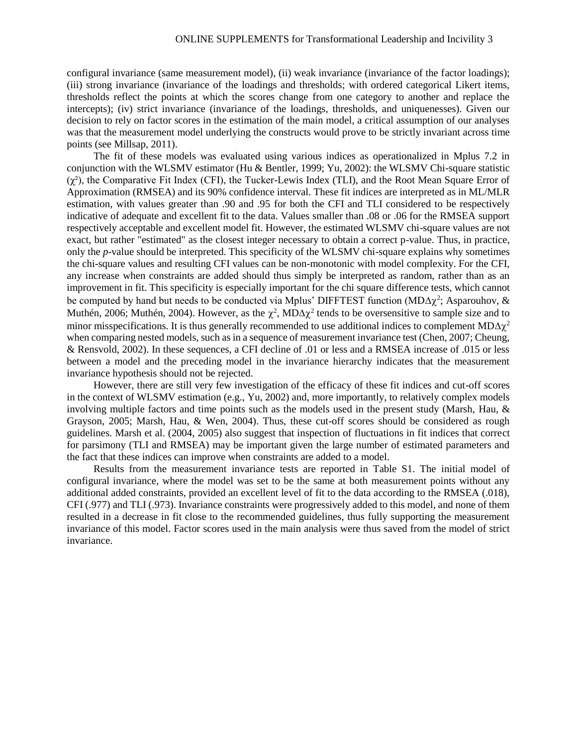configural invariance (same measurement model), (ii) weak invariance (invariance of the factor loadings); (iii) strong invariance (invariance of the loadings and thresholds; with ordered categorical Likert items, thresholds reflect the points at which the scores change from one category to another and replace the intercepts); (iv) strict invariance (invariance of the loadings, thresholds, and uniquenesses). Given our decision to rely on factor scores in the estimation of the main model, a critical assumption of our analyses was that the measurement model underlying the constructs would prove to be strictly invariant across time points (see Millsap, 2011).

The fit of these models was evaluated using various indices as operationalized in Mplus 7.2 in conjunction with the WLSMV estimator (Hu & Bentler, 1999; Yu, 2002): the WLSMV Chi-square statistic  $(\chi^2)$ , the Comparative Fit Index (CFI), the Tucker-Lewis Index (TLI), and the Root Mean Square Error of Approximation (RMSEA) and its 90% confidence interval. These fit indices are interpreted as in ML/MLR estimation, with values greater than .90 and .95 for both the CFI and TLI considered to be respectively indicative of adequate and excellent fit to the data. Values smaller than .08 or .06 for the RMSEA support respectively acceptable and excellent model fit. However, the estimated WLSMV chi-square values are not exact, but rather "estimated" as the closest integer necessary to obtain a correct p-value. Thus, in practice, only the *p*-value should be interpreted. This specificity of the WLSMV chi-square explains why sometimes the chi-square values and resulting CFI values can be non-monotonic with model complexity. For the CFI, any increase when constraints are added should thus simply be interpreted as random, rather than as an improvement in fit. This specificity is especially important for the chi square difference tests, which cannot be computed by hand but needs to be conducted via Mplus' DIFFTEST function (MD $\Delta \chi^2$ ; Asparouhov, & Muthén, 2006; Muthén, 2004). However, as the  $\chi^2$ , MD $\Delta \chi^2$  tends to be oversensitive to sample size and to minor misspecifications. It is thus generally recommended to use additional indices to complement  $MD\Delta \chi^2$ when comparing nested models, such as in a sequence of measurement invariance test (Chen, 2007; Cheung, & Rensvold, 2002). In these sequences, a CFI decline of .01 or less and a RMSEA increase of .015 or less between a model and the preceding model in the invariance hierarchy indicates that the measurement invariance hypothesis should not be rejected.

However, there are still very few investigation of the efficacy of these fit indices and cut-off scores in the context of WLSMV estimation (e.g., Yu, 2002) and, more importantly, to relatively complex models involving multiple factors and time points such as the models used in the present study (Marsh, Hau, & Grayson, 2005; Marsh, Hau, & Wen, 2004). Thus, these cut-off scores should be considered as rough guidelines. Marsh et al. (2004, 2005) also suggest that inspection of fluctuations in fit indices that correct for parsimony (TLI and RMSEA) may be important given the large number of estimated parameters and the fact that these indices can improve when constraints are added to a model.

Results from the measurement invariance tests are reported in Table S1. The initial model of configural invariance, where the model was set to be the same at both measurement points without any additional added constraints, provided an excellent level of fit to the data according to the RMSEA (.018), CFI (.977) and TLI (.973). Invariance constraints were progressively added to this model, and none of them resulted in a decrease in fit close to the recommended guidelines, thus fully supporting the measurement invariance of this model. Factor scores used in the main analysis were thus saved from the model of strict invariance.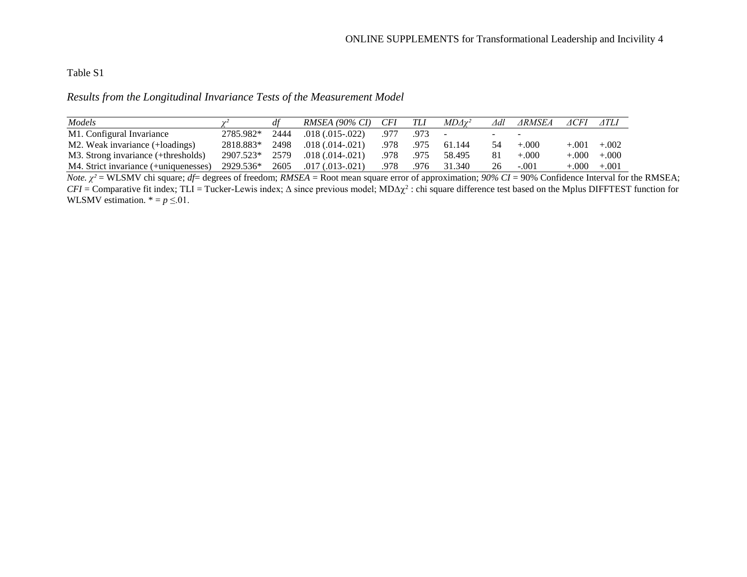## Table S1

*Results from the Longitudinal Invariance Tests of the Measurement Model*

| Models                                |           |      | $RMSEA (90\% CI) CFI$  |      | TLI        | $MD\Delta\gamma^2$ | ∆dl | ⊿RMSEA  | ⊿CFI       | ATLI    |
|---------------------------------------|-----------|------|------------------------|------|------------|--------------------|-----|---------|------------|---------|
| M1. Configural Invariance             | 2785.982* | 2444 | $.018(.015-.022)$      | .977 | .973       | $\sim$             |     |         |            |         |
| M2. Weak invariance (+loadings)       | 2818.883* | 2498 | $.018(.014-.021)$      |      | .978. .975 | 61.144             | 54  | $+.000$ | $+.001$    | $+.002$ |
| M3. Strong invariance (+thresholds)   | 2907.523* | 2579 | $.018(.014-.021)$      | .978 | .975       | 58.495             | 81  | $+.000$ | $+0.000 +$ | $+.000$ |
| M4. Strict invariance (+uniquenesses) | 2929.536* | 2605 | $.017 \,(.013 - .021)$ | .978 | .976       | 31.340             | 26  | $-.001$ | $+0.000 +$ | $+.001$ |

*Note. χ²* = WLSMV chi square; *df*= degrees of freedom; *RMSEA* = Root mean square error of approximation; *90% CI* = 90% Confidence Interval for the RMSEA;  $CFI =$  Comparative fit index; TLI = Tucker-Lewis index;  $\Delta$  since previous model;  $MD\Delta\chi^2$ : chi square difference test based on the Mplus DIFFTEST function for WLSMV estimation.  $* = p \le 01$ .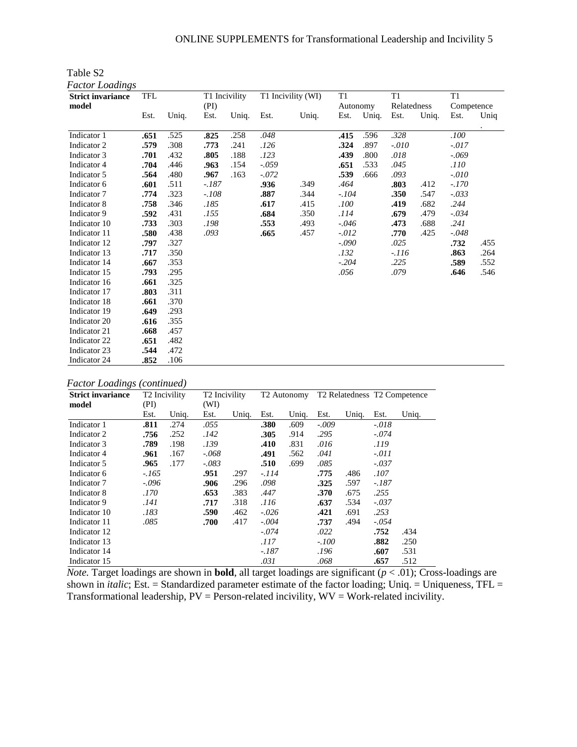| Factor Loadings          |            |       |         |               |         |                    |                |       |             |       |            |         |
|--------------------------|------------|-------|---------|---------------|---------|--------------------|----------------|-------|-------------|-------|------------|---------|
| <b>Strict invariance</b> | <b>TFL</b> |       |         | T1 Incivility |         | T1 Incivility (WI) | T <sub>1</sub> |       | T1          |       | T1         |         |
| model                    |            |       | (PI)    |               |         |                    | Autonomy       |       | Relatedness |       | Competence |         |
|                          | Est.       | Uniq. | Est.    | Uniq.         | Est.    | Uniq.              | Est.           | Uniq. | Est.        | Uniq. | Est.       | Uniq    |
| Indicator 1              | .651       | .525  | .825    | .258          | .048    |                    | .415           | .596  | .328        |       | .100       | $\cdot$ |
| Indicator 2              | .579       | .308  | .773    | .241          | .126    |                    | .324           | .897  | $-.010$     |       | $-.017$    |         |
| Indicator 3              | .701       | .432  | .805    | .188          | .123    |                    | .439           | .800  | .018        |       | $-.069$    |         |
| Indicator 4              | .704       | .446  | .963    | .154          | $-.059$ |                    | .651           | .533  | .045        |       | .110       |         |
| Indicator 5              | .564       | .480  | .967    | .163          | $-.072$ |                    | .539           | .666  | .093        |       | $-.010$    |         |
| Indicator 6              | .601       | .511  | $-.187$ |               | .936    | .349               | .464           |       | .803        | .412  | $-.170$    |         |
| Indicator 7              | .774       | .323  | $-.108$ |               | .887    | .344               | $-.104$        |       | .350        | .547  | $-.033$    |         |
| Indicator 8              | .758       | .346  | .185    |               | .617    | .415               | .100           |       | .419        | .682  | .244       |         |
| Indicator 9              | .592       | .431  | .155    |               | .684    | .350               | .114           |       | .679        | .479  | $-.034$    |         |
| Indicator 10             | .733       | .303  | .198    |               | .553    | .493               | $-.046$        |       | .473        | .688  | .241       |         |
| Indicator 11             | .580       | .438  | .093    |               | .665    | .457               | $-.012$        |       | .770        | .425  | $-.048$    |         |
| Indicator 12             | .797       | .327  |         |               |         |                    | $-.090$        |       | .025        |       | .732       | .455    |
| Indicator 13             | .717       | .350  |         |               |         |                    | .132           |       | $-.116$     |       | .863       | .264    |
| Indicator 14             | .667       | .353  |         |               |         |                    | $-.204$        |       | .225        |       | .589       | .552    |
| Indicator 15             | .793       | .295  |         |               |         |                    | .056           |       | .079        |       | .646       | .546    |
| Indicator 16             | .661       | .325  |         |               |         |                    |                |       |             |       |            |         |
| Indicator 17             | .803       | .311  |         |               |         |                    |                |       |             |       |            |         |
| Indicator 18             | .661       | .370  |         |               |         |                    |                |       |             |       |            |         |
| Indicator 19             | .649       | .293  |         |               |         |                    |                |       |             |       |            |         |
| Indicator 20             | .616       | .355  |         |               |         |                    |                |       |             |       |            |         |
| Indicator 21             | .668       | .457  |         |               |         |                    |                |       |             |       |            |         |
| Indicator 22             | .651       | .482  |         |               |         |                    |                |       |             |       |            |         |
| Indicator 23             | .544       | .472  |         |               |         |                    |                |       |             |       |            |         |
| Indicator 24             | .852       | .106  |         |               |         |                    |                |       |             |       |            |         |

Table S2

| <b>Factor Loadings (continued)</b> |  |  |  |  |
|------------------------------------|--|--|--|--|
|------------------------------------|--|--|--|--|

| <b>Strict invariance</b> | T <sub>2</sub> Incivility |       | T <sub>2</sub> Incivility |       |         | T <sub>2</sub> Autonomy |         |       |         | T <sub>2</sub> Relatedness T <sub>2</sub> Competence |
|--------------------------|---------------------------|-------|---------------------------|-------|---------|-------------------------|---------|-------|---------|------------------------------------------------------|
| model                    | (PI)                      |       | (WI)                      |       |         |                         |         |       |         |                                                      |
|                          | Est.                      | Uniq. | Est.                      | Uniq. | Est.    | Uniq.                   | Est.    | Uniq. | Est.    | Uniq.                                                |
| Indicator 1              | .811                      | .274  | .055                      |       | .380    | .609                    | $-.009$ |       | $-.018$ |                                                      |
| Indicator 2              | .756                      | .252  | .142                      |       | .305    | .914                    | .295    |       | $-.074$ |                                                      |
| Indicator 3              | .789                      | .198  | .139                      |       | .410    | .831                    | .016    |       | .119    |                                                      |
| Indicator 4              | .961                      | .167  | $-.068$                   |       | .491    | .562                    | .041    |       | $-.011$ |                                                      |
| Indicator 5              | .965                      | .177  | $-.083$                   |       | .510    | .699                    | .085    |       | $-.037$ |                                                      |
| Indicator 6              | $-.165$                   |       | .951                      | .297  | -.114   |                         | .775    | .486  | .107    |                                                      |
| Indicator 7              | $-.096$                   |       | .906                      | .296  | .098    |                         | .325    | .597  | -.187   |                                                      |
| Indicator 8              | .170                      |       | .653                      | .383  | .447    |                         | .370    | .675  | .255    |                                                      |
| Indicator 9              | .141                      |       | .717                      | .318  | .116    |                         | .637    | .534  | $-.037$ |                                                      |
| Indicator 10             | .183                      |       | .590                      | .462  | $-.026$ |                         | .421    | .691  | .253    |                                                      |
| Indicator 11             | .085                      |       | .700                      | .417  | $-.004$ |                         | .737    | .494  | $-.054$ |                                                      |
| Indicator 12             |                           |       |                           |       | $-.074$ |                         | .022    |       | .752    | .434                                                 |
| Indicator 13             |                           |       |                           |       | .117    |                         | $-.100$ |       | .882    | .250                                                 |
| Indicator 14             |                           |       |                           |       | -.187   |                         | .196    |       | .607    | .531                                                 |
| Indicator 15             |                           |       |                           |       | .031    |                         | .068    |       | .657    | .512                                                 |

*Note.* Target loadings are shown in **bold**, all target loadings are significant (*p* < .01); Cross-loadings are shown in *italic*; Est. = Standardized parameter estimate of the factor loading; Uniq. = Uniqueness, TFL = Transformational leadership,  $PV = Person$ -related incivility,  $WV = Work$ -related incivility.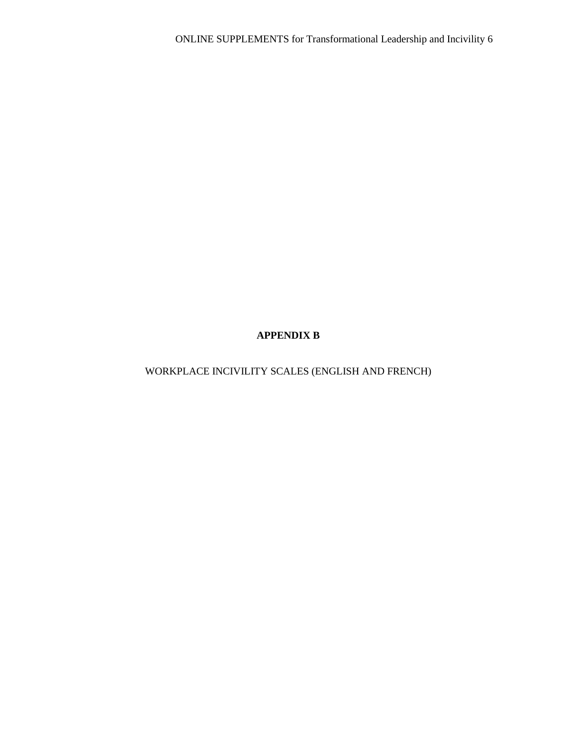# **APPENDIX B**

WORKPLACE INCIVILITY SCALES (ENGLISH AND FRENCH)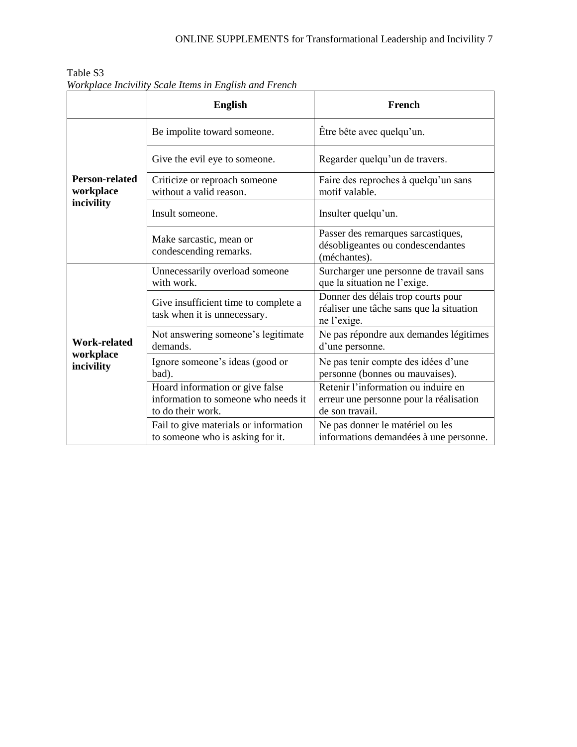|                                    | <b>English</b>                                                                              | French                                                                                            |  |  |  |  |
|------------------------------------|---------------------------------------------------------------------------------------------|---------------------------------------------------------------------------------------------------|--|--|--|--|
|                                    | Be impolite toward someone.                                                                 | Être bête avec quelqu'un.                                                                         |  |  |  |  |
|                                    | Give the evil eye to someone.                                                               | Regarder quelqu'un de travers.                                                                    |  |  |  |  |
| <b>Person-related</b><br>workplace | Criticize or reproach someone<br>without a valid reason.                                    | Faire des reproches à quelqu'un sans<br>motif valable.                                            |  |  |  |  |
| incivility                         | Insult someone.                                                                             | Insulter quelqu'un.                                                                               |  |  |  |  |
|                                    | Make sarcastic, mean or<br>condescending remarks.                                           | Passer des remarques sarcastiques,<br>désobligeantes ou condescendantes<br>(méchantes).           |  |  |  |  |
|                                    | Unnecessarily overload someone<br>with work.                                                | Surcharger une personne de travail sans<br>que la situation ne l'exige.                           |  |  |  |  |
|                                    | Give insufficient time to complete a<br>task when it is unnecessary.                        | Donner des délais trop courts pour<br>réaliser une tâche sans que la situation<br>ne l'exige.     |  |  |  |  |
| <b>Work-related</b>                | Not answering someone's legitimate<br>demands.                                              | Ne pas répondre aux demandes légitimes<br>d'une personne.                                         |  |  |  |  |
| workplace<br>incivility            | Ignore someone's ideas (good or<br>bad).                                                    | Ne pas tenir compte des idées d'une<br>personne (bonnes ou mauvaises).                            |  |  |  |  |
|                                    | Hoard information or give false<br>information to someone who needs it<br>to do their work. | Retenir l'information ou induire en<br>erreur une personne pour la réalisation<br>de son travail. |  |  |  |  |
|                                    | Fail to give materials or information<br>to someone who is asking for it.                   | Ne pas donner le matériel ou les<br>informations demandées à une personne.                        |  |  |  |  |

Table S3 *Workplace Incivility Scale Items in English and French*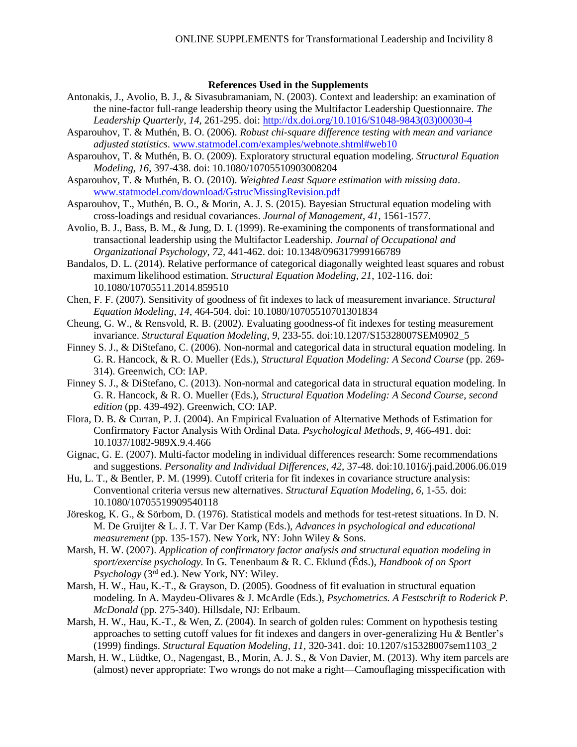## **References Used in the Supplements**

- Antonakis, J., Avolio, B. J., & Sivasubramaniam, N. (2003). Context and leadership: an examination of the nine-factor full-range leadership theory using the Multifactor Leadership Questionnaire. *The Leadership Quarterly*, *14*, 261-295. doi: [http://dx.doi.org/10.1016/S1048-9843\(03\)00030-4](http://dx.doi.org/10.1016/S1048-9843(03)00030-4)
- Asparouhov, T. & Muthén, B. O. (2006). *Robust chi-square difference testing with mean and variance adjusted statistics*. [www.statmodel.com/examples/webnote.shtml#web10](file:///C:/Users/Julien/AppData/Local/Packages/microsoft.windowscommunicationsapps_8wekyb3d8bbwe/LocalState/LiveComm/47d223deb5ad181e/Users/30016475/AppData/Local/Microsoft/Local%20Settings/Temporary%20Internet%20Files/Content.Outlook/8612Y729/www.statmodel.com/examples/webnote.shtml)
- Asparouhov, T. & Muthén, B. O. (2009). Exploratory structural equation modeling. *Structural Equation Modeling*, *16*, 397-438. doi: 10.1080/10705510903008204
- Asparouhov, T. & Muthén, B. O. (2010). *Weighted Least Square estimation with missing data*. [www.statmodel.com/download/GstrucMissingRevision.pdf](http://www.statmodel.com/download/GstrucMissingRevision.pdf)
- Asparouhov, T., Muthén, B. O., & Morin, A. J. S. (2015). Bayesian Structural equation modeling with cross-loadings and residual covariances. *Journal of Management*, *41*, 1561-1577.
- Avolio, B. J., Bass, B. M., & Jung, D. I. (1999). Re-examining the components of transformational and transactional leadership using the Multifactor Leadership. *Journal of Occupational and Organizational Psychology*, *72*, 441-462. doi: 10.1348/096317999166789
- Bandalos, D. L. (2014). Relative performance of categorical diagonally weighted least squares and robust maximum likelihood estimation. *Structural Equation Modeling*, *21*, 102-116. doi: 10.1080/10705511.2014.859510
- Chen, F. F. (2007). Sensitivity of goodness of fit indexes to lack of measurement invariance. *Structural Equation Modeling*, *14*, 464-504. doi: 10.1080/10705510701301834
- Cheung, G. W., & Rensvold, R. B. (2002). Evaluating goodness-of fit indexes for testing measurement invariance. *Structural Equation Modeling*, *9*, 233-55. doi:10.1207/S15328007SEM0902\_5
- Finney S. J., & DiStefano, C. (2006). Non-normal and categorical data in structural equation modeling. In G. R. Hancock, & R. O. Mueller (Eds.), *Structural Equation Modeling: A Second Course* (pp. 269- 314). Greenwich, CO: IAP.
- Finney S. J., & DiStefano, C. (2013). Non-normal and categorical data in structural equation modeling. In G. R. Hancock, & R. O. Mueller (Eds.), *Structural Equation Modeling: A Second Course*, *second edition* (pp. 439-492). Greenwich, CO: IAP.
- Flora, D. B. & Curran, P. J. (2004). An Empirical Evaluation of Alternative Methods of Estimation for Confirmatory Factor Analysis With Ordinal Data. *Psychological Methods*, *9,* 466-491. doi: 10.1037/1082-989X.9.4.466
- Gignac, G. E. (2007). Multi-factor modeling in individual differences research: Some recommendations and suggestions. *Personality and Individual Differences*, *42*, 37-48. doi:10.1016/j.paid.2006.06.019
- Hu, L. T., & Bentler, P. M. (1999). Cutoff criteria for fit indexes in covariance structure analysis: Conventional criteria versus new alternatives. *Structural Equation Modeling*, *6*, 1-55. doi: 10.1080/10705519909540118
- Jöreskog, K. G., & Sörbom, D. (1976). Statistical models and methods for test-retest situations. In D. N. M. De Gruijter & L. J. T. Var Der Kamp (Eds.), *Advances in psychological and educational measurement* (pp. 135-157). New York, NY: John Wiley & Sons.
- Marsh, H. W. (2007). *Application of confirmatory factor analysis and structural equation modeling in sport/exercise psychology.* In G. Tenenbaum & R. C. Eklund (Éds.), *Handbook of on Sport Psychology* (3rd ed.). New York, NY: Wiley.
- Marsh, H. W., Hau, K.-T., & Grayson, D. (2005). Goodness of fit evaluation in structural equation modeling. In A. Maydeu-Olivares & J. McArdle (Eds.), *Psychometrics. A Festschrift to Roderick P. McDonald* (pp. 275-340). Hillsdale, NJ: Erlbaum.
- Marsh, H. W., Hau, K.-T., & Wen, Z. (2004). In search of golden rules: Comment on hypothesis testing approaches to setting cutoff values for fit indexes and dangers in over-generalizing Hu & Bentler's (1999) findings. *Structural Equation Modeling*, *11*, 320-341. doi: 10.1207/s15328007sem1103\_2
- Marsh, H. W., Lüdtke, O., Nagengast, B., Morin, A. J. S., & Von Davier, M. (2013). Why item parcels are (almost) never appropriate: Two wrongs do not make a right—Camouflaging misspecification with